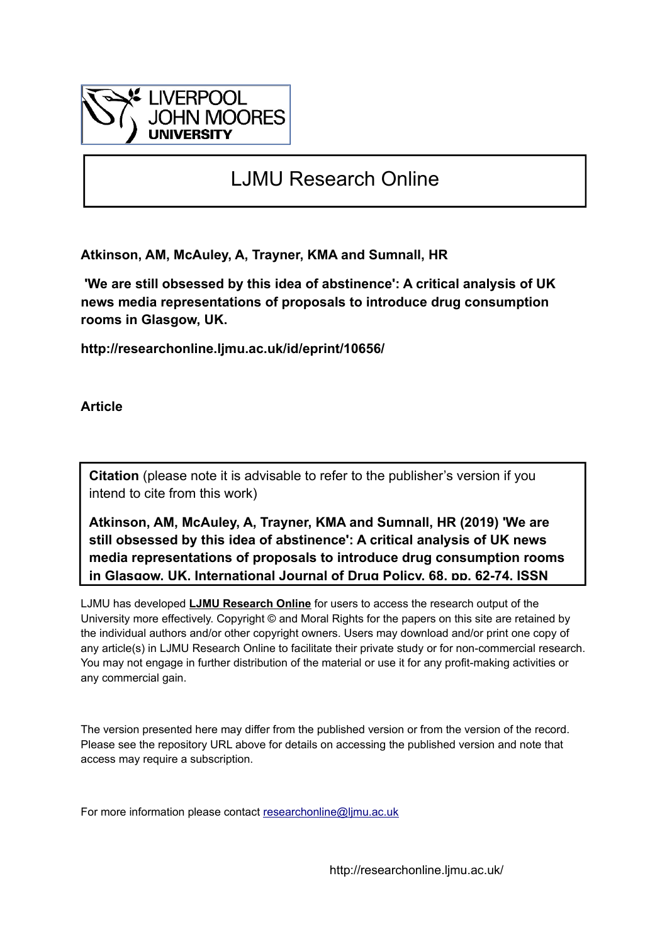

# LJMU Research Online

**Atkinson, AM, McAuley, A, Trayner, KMA and Sumnall, HR**

 **'We are still obsessed by this idea of abstinence': A critical analysis of UK news media representations of proposals to introduce drug consumption rooms in Glasgow, UK.**

**http://researchonline.ljmu.ac.uk/id/eprint/10656/**

**Article**

**Citation** (please note it is advisable to refer to the publisher's version if you intend to cite from this work)

**Atkinson, AM, McAuley, A, Trayner, KMA and Sumnall, HR (2019) 'We are still obsessed by this idea of abstinence': A critical analysis of UK news media representations of proposals to introduce drug consumption rooms in Glasgow, UK. International Journal of Drug Policy, 68. pp. 62-74. ISSN** 

LJMU has developed **[LJMU Research Online](http://researchonline.ljmu.ac.uk/)** for users to access the research output of the University more effectively. Copyright © and Moral Rights for the papers on this site are retained by the individual authors and/or other copyright owners. Users may download and/or print one copy of any article(s) in LJMU Research Online to facilitate their private study or for non-commercial research. You may not engage in further distribution of the material or use it for any profit-making activities or any commercial gain.

The version presented here may differ from the published version or from the version of the record. Please see the repository URL above for details on accessing the published version and note that access may require a subscription.

For more information please contact researchonline@limu.ac.uk

http://researchonline.ljmu.ac.uk/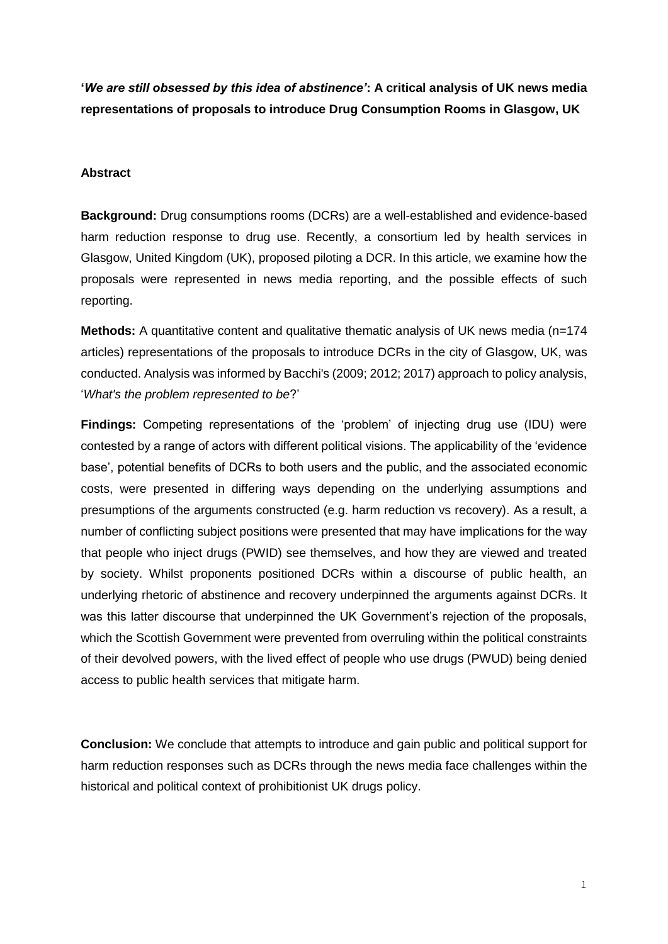**'***We are still obsessed by this idea of abstinence'***: A critical analysis of UK news media representations of proposals to introduce Drug Consumption Rooms in Glasgow, UK**

#### **Abstract**

**Background:** Drug consumptions rooms (DCRs) are a well-established and evidence-based harm reduction response to drug use. Recently, a consortium led by health services in Glasgow, United Kingdom (UK), proposed piloting a DCR. In this article, we examine how the proposals were represented in news media reporting, and the possible effects of such reporting.

**Methods:** A quantitative content and qualitative thematic analysis of UK news media (n=174 articles) representations of the proposals to introduce DCRs in the city of Glasgow, UK, was conducted. Analysis was informed by Bacchi's (2009; 2012; 2017) approach to policy analysis, '*What's the problem represented to be*?'

**Findings:** Competing representations of the 'problem' of injecting drug use (IDU) were contested by a range of actors with different political visions. The applicability of the 'evidence base', potential benefits of DCRs to both users and the public, and the associated economic costs, were presented in differing ways depending on the underlying assumptions and presumptions of the arguments constructed (e.g. harm reduction vs recovery). As a result, a number of conflicting subject positions were presented that may have implications for the way that people who inject drugs (PWID) see themselves, and how they are viewed and treated by society. Whilst proponents positioned DCRs within a discourse of public health, an underlying rhetoric of abstinence and recovery underpinned the arguments against DCRs. It was this latter discourse that underpinned the UK Government's rejection of the proposals, which the Scottish Government were prevented from overruling within the political constraints of their devolved powers, with the lived effect of people who use drugs (PWUD) being denied access to public health services that mitigate harm.

**Conclusion:** We conclude that attempts to introduce and gain public and political support for harm reduction responses such as DCRs through the news media face challenges within the historical and political context of prohibitionist UK drugs policy.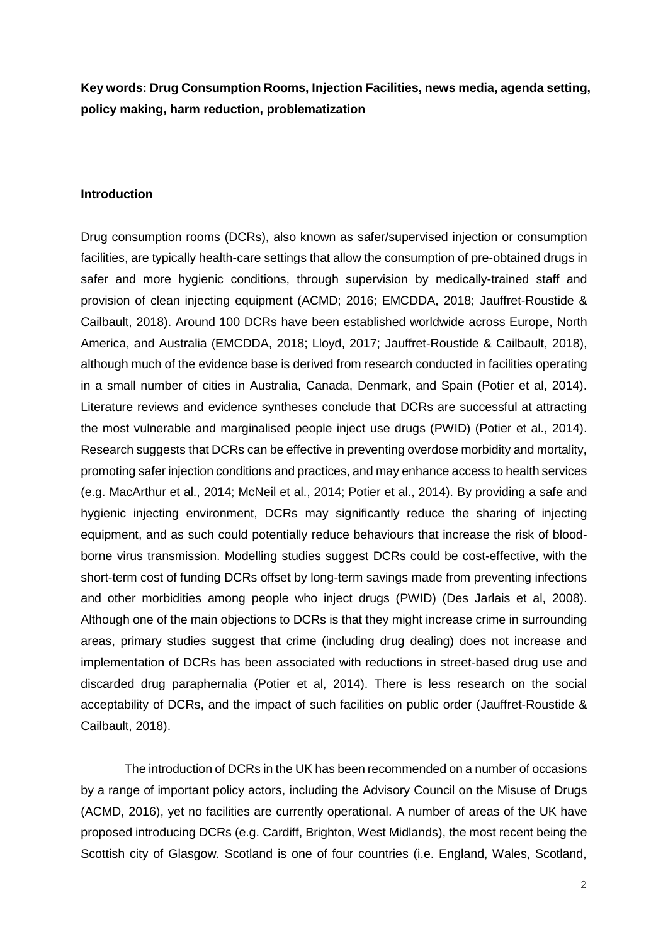**Key words: Drug Consumption Rooms, Injection Facilities, news media, agenda setting, policy making, harm reduction, problematization** 

#### **Introduction**

Drug consumption rooms (DCRs), also known as safer/supervised injection or consumption facilities, are typically health-care settings that allow the consumption of pre-obtained drugs in safer and more hygienic conditions, through supervision by medically-trained staff and provision of clean injecting equipment (ACMD; 2016; EMCDDA, 2018; Jauffret-Roustide & Cailbault, 2018). Around 100 DCRs have been established worldwide across Europe, North America, and Australia (EMCDDA, 2018; Lloyd, 2017; Jauffret-Roustide & Cailbault, 2018), although much of the evidence base is derived from research conducted in facilities operating in a small number of cities in Australia, Canada, Denmark, and Spain (Potier et al, 2014). Literature reviews and evidence syntheses conclude that DCRs are successful at attracting the most vulnerable and marginalised people inject use drugs (PWID) (Potier et al., 2014). Research suggests that DCRs can be effective in preventing overdose morbidity and mortality, promoting safer injection conditions and practices, and may enhance access to health services (e.g. MacArthur et al., 2014; McNeil et al., 2014; Potier et al., 2014). By providing a safe and hygienic injecting environment, DCRs may significantly reduce the sharing of injecting equipment, and as such could potentially reduce behaviours that increase the risk of bloodborne virus transmission. Modelling studies suggest DCRs could be cost-effective, with the short-term cost of funding DCRs offset by long-term savings made from preventing infections and other morbidities among people who inject drugs (PWID) (Des Jarlais et al, 2008). Although one of the main objections to DCRs is that they might increase crime in surrounding areas, primary studies suggest that crime (including drug dealing) does not increase and implementation of DCRs has been associated with reductions in street-based drug use and discarded drug paraphernalia (Potier et al, 2014). There is less research on the social acceptability of DCRs, and the impact of such facilities on public order (Jauffret-Roustide & Cailbault, 2018).

The introduction of DCRs in the UK has been recommended on a number of occasions by a range of important policy actors, including the Advisory Council on the Misuse of Drugs (ACMD, 2016), yet no facilities are currently operational. A number of areas of the UK have proposed introducing DCRs (e.g. Cardiff, Brighton, West Midlands), the most recent being the Scottish city of Glasgow. Scotland is one of four countries (i.e. England, Wales, Scotland,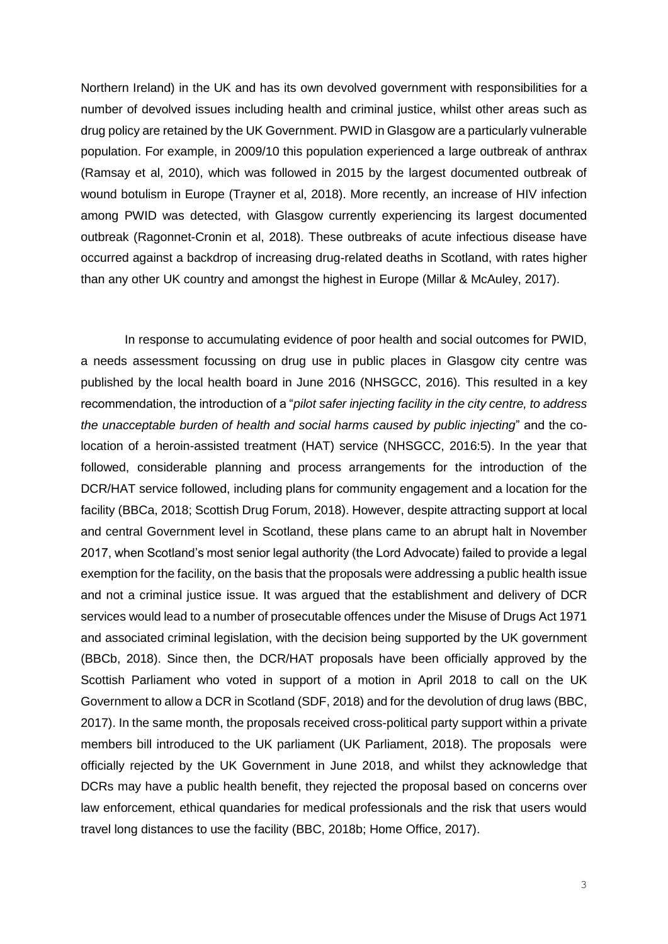Northern Ireland) in the UK and has its own devolved government with responsibilities for a number of devolved issues including health and criminal justice, whilst other areas such as drug policy are retained by the UK Government. PWID in Glasgow are a particularly vulnerable population. For example, in 2009/10 this population experienced a large outbreak of anthrax (Ramsay et al, 2010), which was followed in 2015 by the largest documented outbreak of wound botulism in Europe (Trayner et al, 2018). More recently, an increase of HIV infection among PWID was detected, with Glasgow currently experiencing its largest documented outbreak (Ragonnet-Cronin et al, 2018). These outbreaks of acute infectious disease have occurred against a backdrop of increasing drug-related deaths in Scotland, with rates higher than any other UK country and amongst the highest in Europe (Millar & McAuley, 2017).

In response to accumulating evidence of poor health and social outcomes for PWID, a needs assessment focussing on drug use in public places in Glasgow city centre was published by the local health board in June 2016 (NHSGCC, 2016)*.* This resulted in a key recommendation, the introduction of a "*pilot safer injecting facility in the city centre, to address the unacceptable burden of health and social harms caused by public injecting*" and the colocation of a heroin-assisted treatment (HAT) service (NHSGCC, 2016:5). In the year that followed, considerable planning and process arrangements for the introduction of the DCR/HAT service followed, including plans for community engagement and a location for the facility (BBCa, 2018; Scottish Drug Forum, 2018). However, despite attracting support at local and central Government level in Scotland, these plans came to an abrupt halt in November 2017, when Scotland's most senior legal authority (the Lord Advocate) failed to provide a legal exemption for the facility, on the basis that the proposals were addressing a public health issue and not a criminal justice issue. It was argued that the establishment and delivery of DCR services would lead to a number of prosecutable offences under the Misuse of Drugs Act 1971 and associated criminal legislation, with the decision being supported by the UK government (BBCb, 2018). Since then, the DCR/HAT proposals have been officially approved by the Scottish Parliament who voted in support of a motion in April 2018 to call on the UK Government to allow a DCR in Scotland (SDF, 2018) and for the devolution of drug laws (BBC, 2017). In the same month, the proposals received cross-political party support within a private members bill introduced to the UK parliament (UK Parliament, 2018). The proposals were officially rejected by the UK Government in June 2018, and whilst they acknowledge that DCRs may have a public health benefit, they rejected the proposal based on concerns over law enforcement, ethical quandaries for medical professionals and the risk that users would travel long distances to use the facility (BBC, 2018b; Home Office, 2017).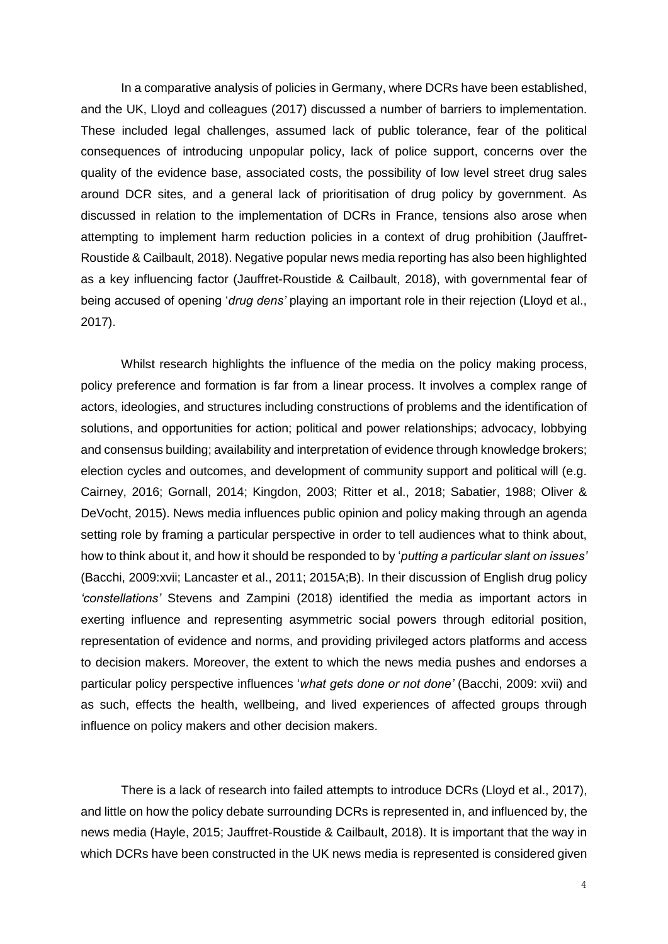In a comparative analysis of policies in Germany, where DCRs have been established, and the UK, Lloyd and colleagues (2017) discussed a number of barriers to implementation. These included legal challenges, assumed lack of public tolerance, fear of the political consequences of introducing unpopular policy, lack of police support, concerns over the quality of the evidence base, associated costs, the possibility of low level street drug sales around DCR sites, and a general lack of prioritisation of drug policy by government. As discussed in relation to the implementation of DCRs in France, tensions also arose when attempting to implement harm reduction policies in a context of drug prohibition (Jauffret-Roustide & Cailbault, 2018). Negative popular news media reporting has also been highlighted as a key influencing factor (Jauffret-Roustide & Cailbault, 2018), with governmental fear of being accused of opening '*drug dens'* playing an important role in their rejection (Lloyd et al., 2017).

Whilst research highlights the influence of the media on the policy making process, policy preference and formation is far from a linear process. It involves a complex range of actors, ideologies, and structures including constructions of problems and the identification of solutions, and opportunities for action; political and power relationships; advocacy, lobbying and consensus building; availability and interpretation of evidence through knowledge brokers; election cycles and outcomes, and development of community support and political will (e.g. Cairney, 2016; Gornall, 2014; Kingdon, 2003; Ritter et al., 2018; Sabatier, 1988; Oliver & DeVocht, 2015). News media influences public opinion and policy making through an agenda setting role by framing a particular perspective in order to tell audiences what to think about, how to think about it, and how it should be responded to by '*putting a particular slant on issues'* (Bacchi, 2009:xvii; Lancaster et al., 2011; 2015A;B). In their discussion of English drug policy *'constellations'* Stevens and Zampini (2018) identified the media as important actors in exerting influence and representing asymmetric social powers through editorial position, representation of evidence and norms, and providing privileged actors platforms and access to decision makers. Moreover, the extent to which the news media pushes and endorses a particular policy perspective influences '*what gets done or not done'* (Bacchi, 2009: xvii) and as such, effects the health, wellbeing, and lived experiences of affected groups through influence on policy makers and other decision makers.

There is a lack of research into failed attempts to introduce DCRs (Lloyd et al., 2017), and little on how the policy debate surrounding DCRs is represented in, and influenced by, the news media (Hayle, 2015; Jauffret-Roustide & Cailbault, 2018). It is important that the way in which DCRs have been constructed in the UK news media is represented is considered given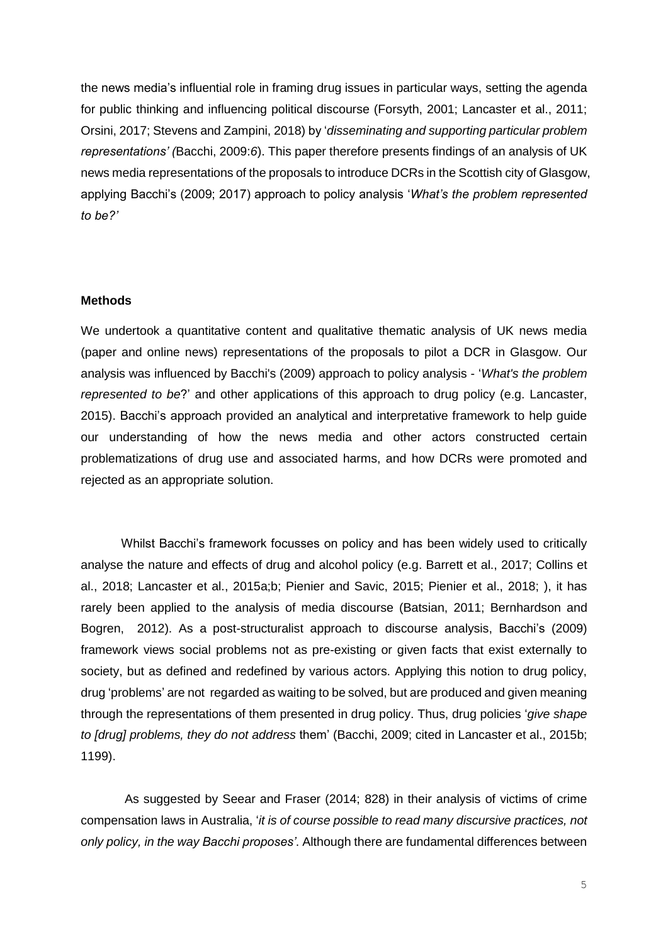the news media's influential role in framing drug issues in particular ways, setting the agenda for public thinking and influencing political discourse (Forsyth, 2001; Lancaster et al., 2011; Orsini, 2017; Stevens and Zampini, 2018) by '*disseminating and supporting particular problem representations' (*Bacchi, 2009:*6*). This paper therefore presents findings of an analysis of UK news media representations of the proposals to introduce DCRs in the Scottish city of Glasgow, applying Bacchi's (2009; 2017) approach to policy analysis '*What's the problem represented to be?'*

### **Methods**

We undertook a quantitative content and qualitative thematic analysis of UK news media (paper and online news) representations of the proposals to pilot a DCR in Glasgow. Our analysis was influenced by Bacchi's (2009) approach to policy analysis - '*What's the problem represented to be*?' and other applications of this approach to drug policy (e.g. Lancaster, 2015). Bacchi's approach provided an analytical and interpretative framework to help guide our understanding of how the news media and other actors constructed certain problematizations of drug use and associated harms, and how DCRs were promoted and rejected as an appropriate solution.

Whilst Bacchi's framework focusses on policy and has been widely used to critically analyse the nature and effects of drug and alcohol policy (e.g. Barrett et al., 2017; Collins et al., 2018; Lancaster et al., 2015a;b; Pienier and Savic, 2015; Pienier et al., 2018; ), it has rarely been applied to the analysis of media discourse (Batsian, 2011; Bernhardson and Bogren, 2012). As a post-structuralist approach to discourse analysis, Bacchi's (2009) framework views social problems not as pre-existing or given facts that exist externally to society, but as defined and redefined by various actors. Applying this notion to drug policy, drug 'problems' are not regarded as waiting to be solved, but are produced and given meaning through the representations of them presented in drug policy. Thus, drug policies '*give shape to [drug] problems, they do not address* them' (Bacchi, 2009; cited in Lancaster et al., 2015b; 1199).

As suggested by Seear and Fraser (2014; 828) in their analysis of victims of crime compensation laws in Australia, '*it is of course possible to read many discursive practices, not only policy, in the way Bacchi proposes'*. Although there are fundamental differences between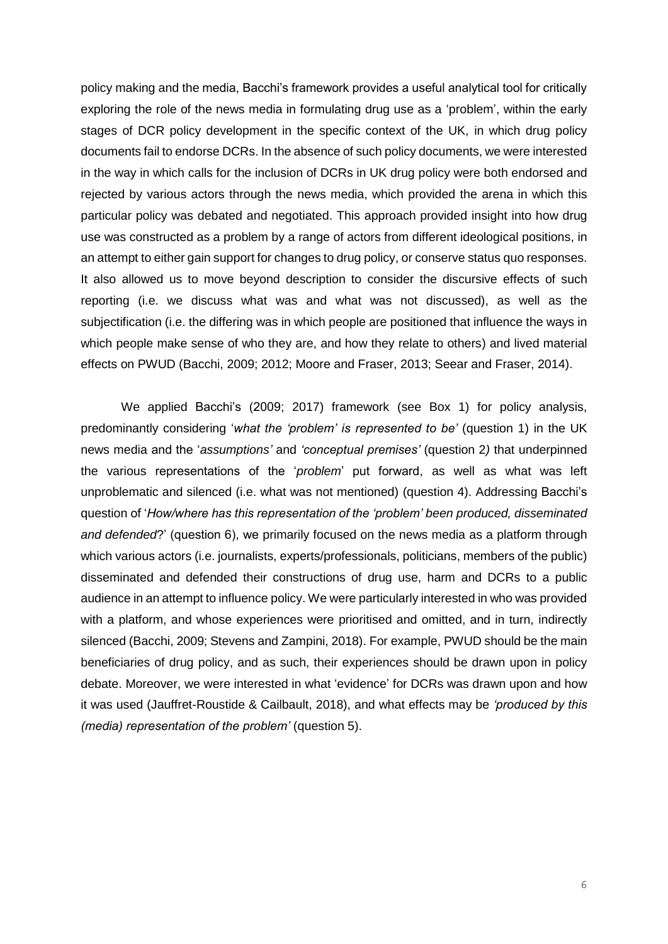policy making and the media, Bacchi's framework provides a useful analytical tool for critically exploring the role of the news media in formulating drug use as a 'problem', within the early stages of DCR policy development in the specific context of the UK, in which drug policy documents fail to endorse DCRs. In the absence of such policy documents, we were interested in the way in which calls for the inclusion of DCRs in UK drug policy were both endorsed and rejected by various actors through the news media, which provided the arena in which this particular policy was debated and negotiated. This approach provided insight into how drug use was constructed as a problem by a range of actors from different ideological positions, in an attempt to either gain support for changes to drug policy, or conserve status quo responses. It also allowed us to move beyond description to consider the discursive effects of such reporting (i.e. we discuss what was and what was not discussed), as well as the subjectification (i.e. the differing was in which people are positioned that influence the ways in which people make sense of who they are, and how they relate to others) and lived material effects on PWUD (Bacchi, 2009; 2012; Moore and Fraser, 2013; Seear and Fraser, 2014).

We applied Bacchi's (2009; 2017) framework (see Box 1) for policy analysis, predominantly considering '*what the 'problem' is represented to be'* (question 1) in the UK news media and the '*assumptions'* and *'conceptual premises'* (question 2*)* that underpinned the various representations of the '*problem*' put forward, as well as what was left unproblematic and silenced (i.e. what was not mentioned) (question 4). Addressing Bacchi's question of '*How/where has this representation of the 'problem' been produced, disseminated and defended*?' (question 6), we primarily focused on the news media as a platform through which various actors (i.e. journalists, experts/professionals, politicians, members of the public) disseminated and defended their constructions of drug use, harm and DCRs to a public audience in an attempt to influence policy. We were particularly interested in who was provided with a platform, and whose experiences were prioritised and omitted, and in turn, indirectly silenced (Bacchi, 2009; Stevens and Zampini, 2018). For example, PWUD should be the main beneficiaries of drug policy, and as such, their experiences should be drawn upon in policy debate. Moreover, we were interested in what 'evidence' for DCRs was drawn upon and how it was used (Jauffret-Roustide & Cailbault, 2018), and what effects may be *'produced by this (media) representation of the problem'* (question 5).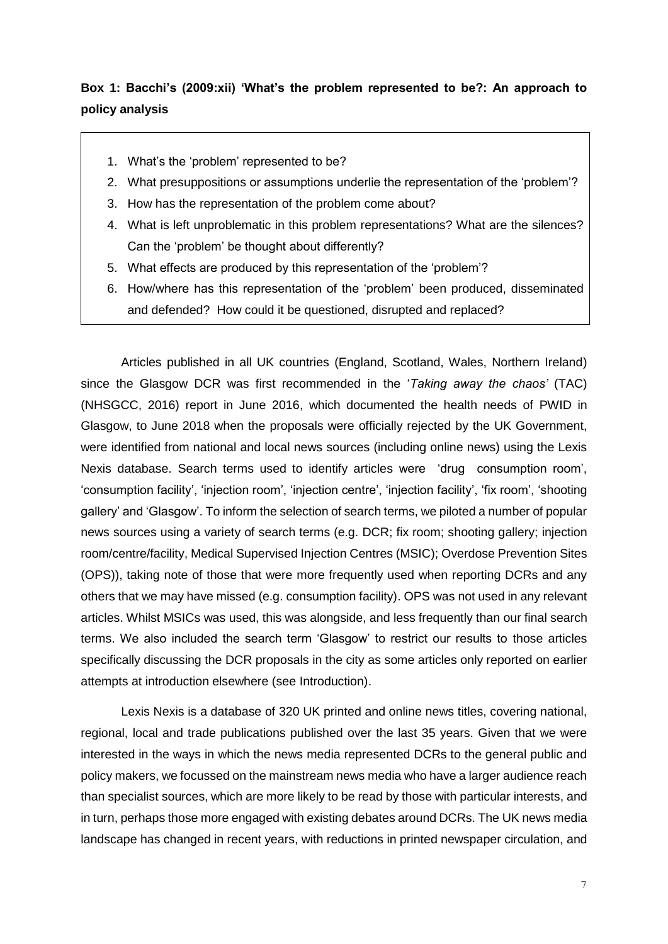# **Box 1: Bacchi's (2009:xii) 'What's the problem represented to be?: An approach to policy analysis**

- 1. What's the 'problem' represented to be?
- 2. What presuppositions or assumptions underlie the representation of the 'problem'?
- 3. How has the representation of the problem come about?
- 4. What is left unproblematic in this problem representations? What are the silences? Can the 'problem' be thought about differently?
- 5. What effects are produced by this representation of the 'problem'?
- 6. How/where has this representation of the 'problem' been produced, disseminated and defended? How could it be questioned, disrupted and replaced?

Articles published in all UK countries (England, Scotland, Wales, Northern Ireland) since the Glasgow DCR was first recommended in the '*Taking away the chaos'* (TAC) (NHSGCC, 2016) report in June 2016, which documented the health needs of PWID in Glasgow, to June 2018 when the proposals were officially rejected by the UK Government, were identified from national and local news sources (including online news) using the Lexis Nexis database. Search terms used to identify articles were 'drug consumption room', 'consumption facility', 'injection room', 'injection centre', 'injection facility', 'fix room', 'shooting gallery' and 'Glasgow'. To inform the selection of search terms, we piloted a number of popular news sources using a variety of search terms (e.g. DCR; fix room; shooting gallery; injection room/centre/facility, Medical Supervised Injection Centres (MSIC); Overdose Prevention Sites (OPS)), taking note of those that were more frequently used when reporting DCRs and any others that we may have missed (e.g. consumption facility). OPS was not used in any relevant articles. Whilst MSICs was used, this was alongside, and less frequently than our final search terms. We also included the search term 'Glasgow' to restrict our results to those articles specifically discussing the DCR proposals in the city as some articles only reported on earlier attempts at introduction elsewhere (see Introduction).

Lexis Nexis is a database of 320 UK printed and online news titles, covering national, regional, local and trade publications published over the last 35 years. Given that we were interested in the ways in which the news media represented DCRs to the general public and policy makers, we focussed on the mainstream news media who have a larger audience reach than specialist sources, which are more likely to be read by those with particular interests, and in turn, perhaps those more engaged with existing debates around DCRs. The UK news media landscape has changed in recent years, with reductions in printed newspaper circulation, and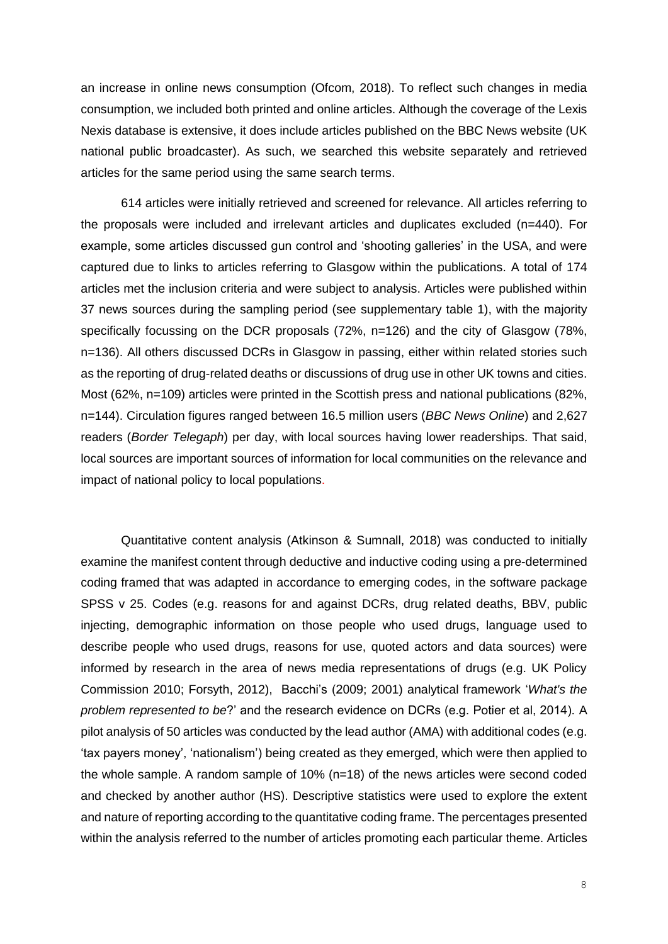an increase in online news consumption (Ofcom, 2018). To reflect such changes in media consumption, we included both printed and online articles. Although the coverage of the Lexis Nexis database is extensive, it does include articles published on the BBC News website (UK national public broadcaster). As such, we searched this website separately and retrieved articles for the same period using the same search terms.

614 articles were initially retrieved and screened for relevance. All articles referring to the proposals were included and irrelevant articles and duplicates excluded (n=440). For example, some articles discussed gun control and 'shooting galleries' in the USA, and were captured due to links to articles referring to Glasgow within the publications. A total of 174 articles met the inclusion criteria and were subject to analysis. Articles were published within 37 news sources during the sampling period (see supplementary table 1), with the majority specifically focussing on the DCR proposals (72%, n=126) and the city of Glasgow (78%, n=136). All others discussed DCRs in Glasgow in passing, either within related stories such as the reporting of drug-related deaths or discussions of drug use in other UK towns and cities. Most (62%, n=109) articles were printed in the Scottish press and national publications (82%, n=144). Circulation figures ranged between 16.5 million users (*BBC News Online*) and 2,627 readers (*Border Telegaph*) per day, with local sources having lower readerships. That said, local sources are important sources of information for local communities on the relevance and impact of national policy to local populations.

Quantitative content analysis (Atkinson & Sumnall, 2018) was conducted to initially examine the manifest content through deductive and inductive coding using a pre-determined coding framed that was adapted in accordance to emerging codes, in the software package SPSS v 25. Codes (e.g. reasons for and against DCRs, drug related deaths, BBV, public injecting, demographic information on those people who used drugs, language used to describe people who used drugs, reasons for use, quoted actors and data sources) were informed by research in the area of news media representations of drugs (e.g. UK Policy Commission 2010; Forsyth, 2012), Bacchi's (2009; 2001) analytical framework '*What's the problem represented to be*?' and the research evidence on DCRs (e.g. Potier et al, 2014). A pilot analysis of 50 articles was conducted by the lead author (AMA) with additional codes (e.g. 'tax payers money', 'nationalism') being created as they emerged, which were then applied to the whole sample. A random sample of 10% (n=18) of the news articles were second coded and checked by another author (HS). Descriptive statistics were used to explore the extent and nature of reporting according to the quantitative coding frame. The percentages presented within the analysis referred to the number of articles promoting each particular theme. Articles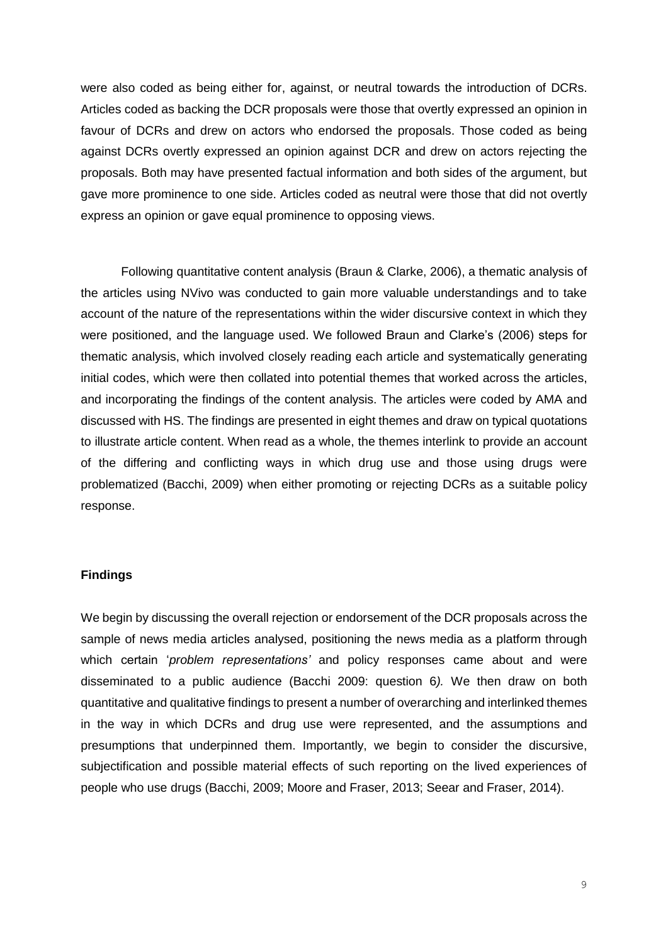were also coded as being either for, against, or neutral towards the introduction of DCRs. Articles coded as backing the DCR proposals were those that overtly expressed an opinion in favour of DCRs and drew on actors who endorsed the proposals. Those coded as being against DCRs overtly expressed an opinion against DCR and drew on actors rejecting the proposals. Both may have presented factual information and both sides of the argument, but gave more prominence to one side. Articles coded as neutral were those that did not overtly express an opinion or gave equal prominence to opposing views.

Following quantitative content analysis (Braun & Clarke, 2006), a thematic analysis of the articles using NVivo was conducted to gain more valuable understandings and to take account of the nature of the representations within the wider discursive context in which they were positioned, and the language used. We followed Braun and Clarke's (2006) steps for thematic analysis, which involved closely reading each article and systematically generating initial codes, which were then collated into potential themes that worked across the articles, and incorporating the findings of the content analysis. The articles were coded by AMA and discussed with HS. The findings are presented in eight themes and draw on typical quotations to illustrate article content. When read as a whole, the themes interlink to provide an account of the differing and conflicting ways in which drug use and those using drugs were problematized (Bacchi, 2009) when either promoting or rejecting DCRs as a suitable policy response.

#### **Findings**

We begin by discussing the overall rejection or endorsement of the DCR proposals across the sample of news media articles analysed, positioning the news media as a platform through which certain '*problem representations'* and policy responses came about and were disseminated to a public audience (Bacchi 2009: question 6*).* We then draw on both quantitative and qualitative findings to present a number of overarching and interlinked themes in the way in which DCRs and drug use were represented, and the assumptions and presumptions that underpinned them. Importantly, we begin to consider the discursive, subjectification and possible material effects of such reporting on the lived experiences of people who use drugs (Bacchi, 2009; Moore and Fraser, 2013; Seear and Fraser, 2014).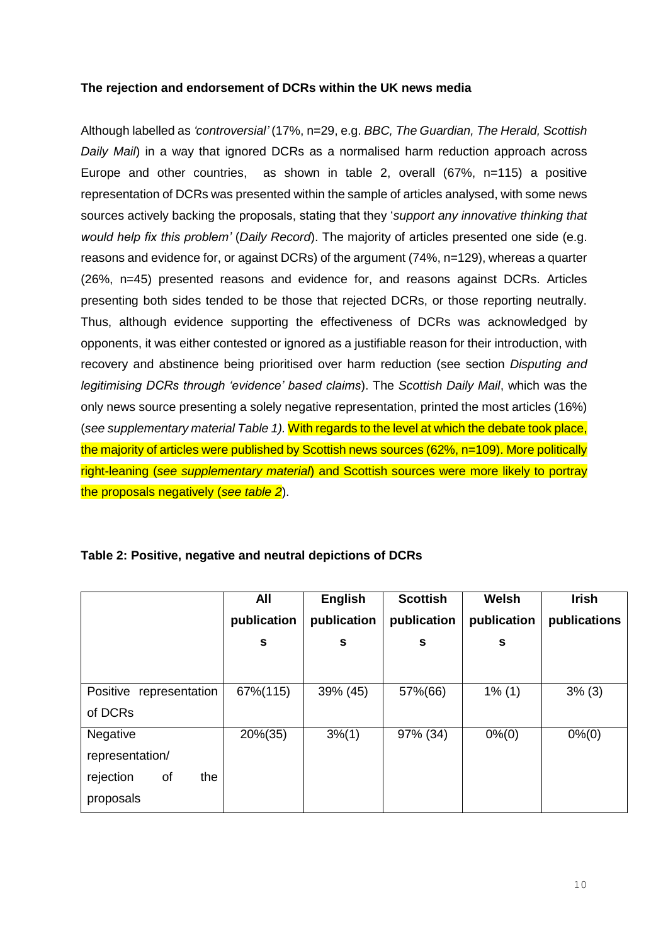### **The rejection and endorsement of DCRs within the UK news media**

Although labelled as *'controversial'* (17%, n=29, e.g. *BBC, The Guardian, The Herald, Scottish Daily Mail*) in a way that ignored DCRs as a normalised harm reduction approach across Europe and other countries, as shown in table 2, overall (67%, n=115) a positive representation of DCRs was presented within the sample of articles analysed, with some news sources actively backing the proposals, stating that they '*support any innovative thinking that would help fix this problem'* (*Daily Record*). The majority of articles presented one side (e.g. reasons and evidence for, or against DCRs) of the argument (74%, n=129), whereas a quarter (26%, n=45) presented reasons and evidence for, and reasons against DCRs. Articles presenting both sides tended to be those that rejected DCRs, or those reporting neutrally. Thus, although evidence supporting the effectiveness of DCRs was acknowledged by opponents, it was either contested or ignored as a justifiable reason for their introduction, with recovery and abstinence being prioritised over harm reduction (see section *Disputing and legitimising DCRs through 'evidence' based claims*). The *Scottish Daily Mail*, which was the only news source presenting a solely negative representation, printed the most articles (16%) (*see supplementary material Table 1).* With regards to the level at which the debate took place, the majority of articles were published by Scottish news sources (62%, n=109). More politically right-leaning (*see supplementary material*) and Scottish sources were more likely to portray the proposals negatively (*see table 2*).

|                            | All         | <b>English</b> | <b>Scottish</b> | Welsh       | <b>Irish</b> |
|----------------------------|-------------|----------------|-----------------|-------------|--------------|
|                            | publication | publication    | publication     | publication | publications |
|                            | S           | S              | S               | S           |              |
|                            |             |                |                 |             |              |
| Positive<br>representation | 67%(115)    | 39% (45)       | 57%(66)         | $1\%$ (1)   | $3\%$ (3)    |
| of DCRs                    |             |                |                 |             |              |
| Negative                   | $20\%(35)$  | $3\frac{6}{1}$ | 97% (34)        | $0\% (0)$   | $0\% (0)$    |
| representation/            |             |                |                 |             |              |
| of<br>rejection<br>the     |             |                |                 |             |              |
| proposals                  |             |                |                 |             |              |

# **Table 2: Positive, negative and neutral depictions of DCRs**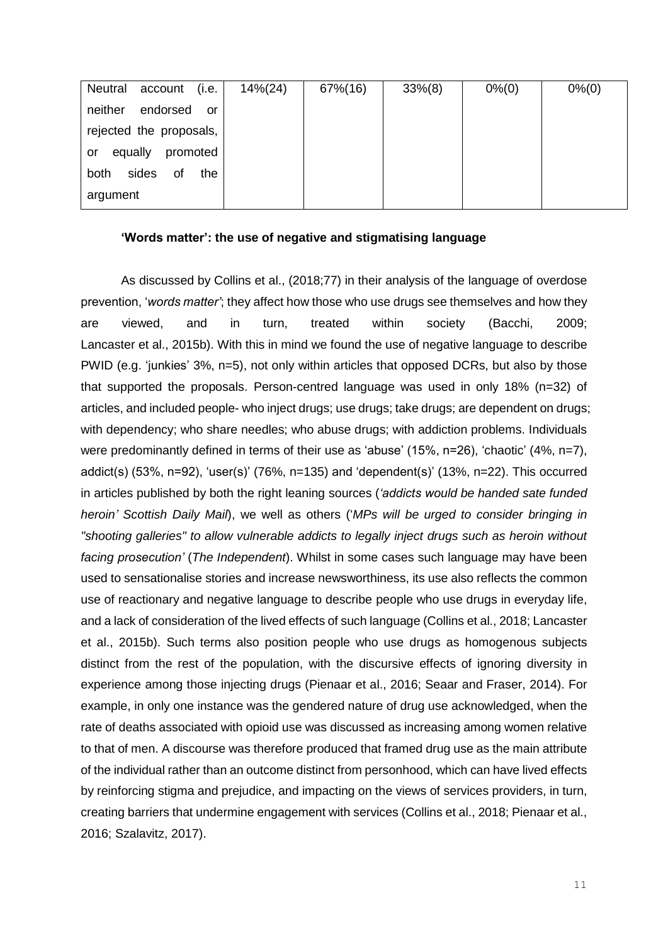| account (i.e.)<br>Neutral        | $14\% (24)$ | 67%(16) | $33\%(8)$ | $0\% (0)$ | $0\%$ (0) |
|----------------------------------|-------------|---------|-----------|-----------|-----------|
| endorsed<br>neither<br>or        |             |         |           |           |           |
| rejected the proposals,          |             |         |           |           |           |
| equally<br>promoted<br><b>or</b> |             |         |           |           |           |
| sides<br>both<br>of<br>the       |             |         |           |           |           |
| argument                         |             |         |           |           |           |

#### **'Words matter': the use of negative and stigmatising language**

As discussed by Collins et al., (2018;77) in their analysis of the language of overdose prevention, '*words matter'*; they affect how those who use drugs see themselves and how they are viewed, and in turn, treated within society (Bacchi, 2009; Lancaster et al., 2015b). With this in mind we found the use of negative language to describe PWID (e.g. 'junkies' 3%, n=5), not only within articles that opposed DCRs, but also by those that supported the proposals. Person-centred language was used in only 18% (n=32) of articles, and included people- who inject drugs; use drugs; take drugs; are dependent on drugs; with dependency; who share needles; who abuse drugs; with addiction problems. Individuals were predominantly defined in terms of their use as 'abuse' (15%, n=26), 'chaotic' (4%, n=7), addict(s) (53%, n=92), 'user(s)' (76%, n=135) and 'dependent(s)' (13%, n=22). This occurred in articles published by both the right leaning sources (*'addicts would be handed sate funded heroin' Scottish Daily Mail*), we well as others ('*MPs will be urged to consider bringing in "shooting galleries" to allow vulnerable addicts to legally inject drugs such as heroin without facing prosecution'* (*The Independent*). Whilst in some cases such language may have been used to sensationalise stories and increase newsworthiness, its use also reflects the common use of reactionary and negative language to describe people who use drugs in everyday life, and a lack of consideration of the lived effects of such language (Collins et al., 2018; Lancaster et al., 2015b). Such terms also position people who use drugs as homogenous subjects distinct from the rest of the population, with the discursive effects of ignoring diversity in experience among those injecting drugs (Pienaar et al., 2016; Seaar and Fraser, 2014). For example, in only one instance was the gendered nature of drug use acknowledged, when the rate of deaths associated with opioid use was discussed as increasing among women relative to that of men. A discourse was therefore produced that framed drug use as the main attribute of the individual rather than an outcome distinct from personhood, which can have lived effects by reinforcing stigma and prejudice, and impacting on the views of services providers, in turn, creating barriers that undermine engagement with services (Collins et al., 2018; Pienaar et al., 2016; Szalavitz, 2017).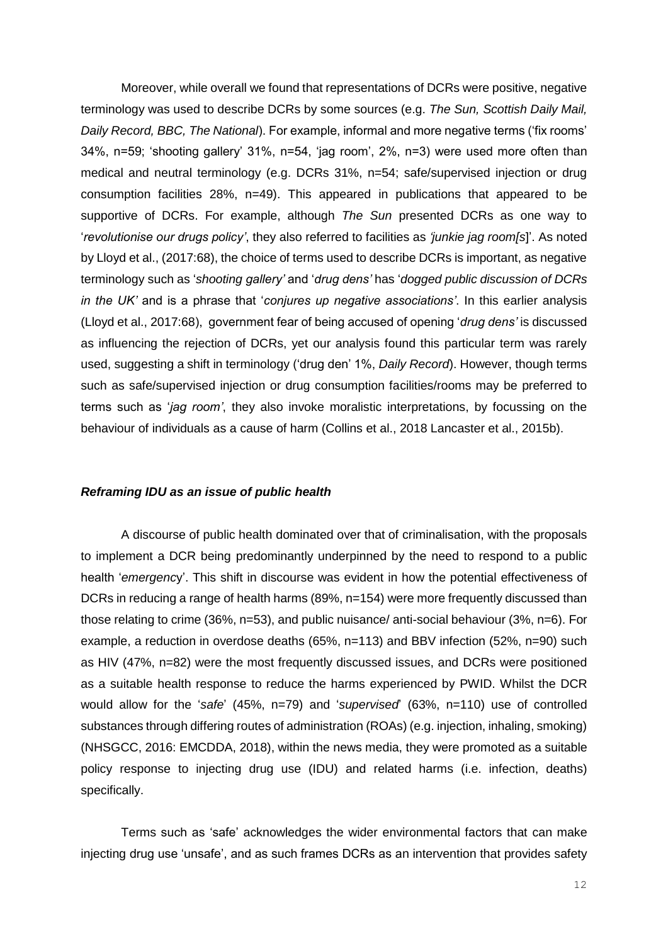Moreover, while overall we found that representations of DCRs were positive, negative terminology was used to describe DCRs by some sources (e.g. *The Sun, Scottish Daily Mail, Daily Record, BBC, The National*). For example, informal and more negative terms ('fix rooms' 34%, n=59; 'shooting gallery' 31%, n=54, 'jag room', 2%, n=3) were used more often than medical and neutral terminology (e.g. DCRs 31%, n=54; safe/supervised injection or drug consumption facilities 28%, n=49). This appeared in publications that appeared to be supportive of DCRs. For example, although *The Sun* presented DCRs as one way to '*revolutionise our drugs policy'*, they also referred to facilities as *'junkie jag room[s*]'. As noted by Lloyd et al., (2017:68), the choice of terms used to describe DCRs is important, as negative terminology such as '*shooting gallery'* and '*drug dens'* has '*dogged public discussion of DCRs in the UK'* and is a phrase that '*conjures up negative associations'*. In this earlier analysis (Lloyd et al., 2017:68), government fear of being accused of opening '*drug dens'* is discussed as influencing the rejection of DCRs, yet our analysis found this particular term was rarely used, suggesting a shift in terminology ('drug den' 1%, *Daily Record*). However, though terms such as safe/supervised injection or drug consumption facilities/rooms may be preferred to terms such as '*jag room'*, they also invoke moralistic interpretations, by focussing on the behaviour of individuals as a cause of harm (Collins et al., 2018 Lancaster et al., 2015b).

#### *Reframing IDU as an issue of public health*

A discourse of public health dominated over that of criminalisation, with the proposals to implement a DCR being predominantly underpinned by the need to respond to a public health '*emergenc*y'. This shift in discourse was evident in how the potential effectiveness of DCRs in reducing a range of health harms (89%, n=154) were more frequently discussed than those relating to crime (36%, n=53), and public nuisance/ anti-social behaviour (3%, n=6). For example, a reduction in overdose deaths (65%, n=113) and BBV infection (52%, n=90) such as HIV (47%, n=82) were the most frequently discussed issues, and DCRs were positioned as a suitable health response to reduce the harms experienced by PWID. Whilst the DCR would allow for the '*safe*' (45%, n=79) and '*supervised*' (63%, n=110) use of controlled substances through differing routes of administration (ROAs) (e.g. injection, inhaling, smoking) (NHSGCC, 2016: EMCDDA, 2018), within the news media, they were promoted as a suitable policy response to injecting drug use (IDU) and related harms (i.e. infection, deaths) specifically.

Terms such as 'safe' acknowledges the wider environmental factors that can make injecting drug use 'unsafe', and as such frames DCRs as an intervention that provides safety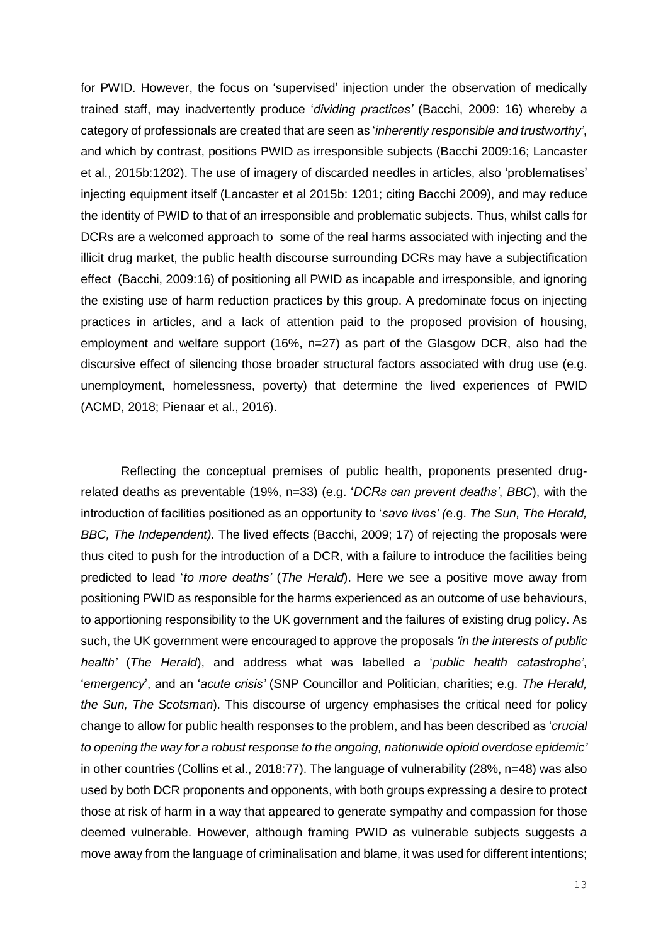for PWID. However, the focus on 'supervised' injection under the observation of medically trained staff, may inadvertently produce '*dividing practices'* (Bacchi, 2009: 16) whereby a category of professionals are created that are seen as '*inherently responsible and trustworthy'*, and which by contrast, positions PWID as irresponsible subjects (Bacchi 2009:16; Lancaster et al., 2015b:1202). The use of imagery of discarded needles in articles, also 'problematises' injecting equipment itself (Lancaster et al 2015b: 1201; citing Bacchi 2009), and may reduce the identity of PWID to that of an irresponsible and problematic subjects. Thus, whilst calls for DCRs are a welcomed approach to some of the real harms associated with injecting and the illicit drug market, the public health discourse surrounding DCRs may have a subjectification effect (Bacchi, 2009:16) of positioning all PWID as incapable and irresponsible, and ignoring the existing use of harm reduction practices by this group. A predominate focus on injecting practices in articles, and a lack of attention paid to the proposed provision of housing, employment and welfare support (16%, n=27) as part of the Glasgow DCR, also had the discursive effect of silencing those broader structural factors associated with drug use (e.g. unemployment, homelessness, poverty) that determine the lived experiences of PWID (ACMD, 2018; Pienaar et al., 2016).

Reflecting the conceptual premises of public health, proponents presented drugrelated deaths as preventable (19%, n=33) (e.g. '*DCRs can prevent deaths'*, *BBC*), with the introduction of facilities positioned as an opportunity to '*save lives' (*e.g. *The Sun, The Herald, BBC, The Independent).* The lived effects (Bacchi, 2009; 17) of rejecting the proposals were thus cited to push for the introduction of a DCR, with a failure to introduce the facilities being predicted to lead '*to more deaths'* (*The Herald*). Here we see a positive move away from positioning PWID as responsible for the harms experienced as an outcome of use behaviours, to apportioning responsibility to the UK government and the failures of existing drug policy. As such, the UK government were encouraged to approve the proposals *'in the interests of public health'* (*The Herald*), and address what was labelled a '*public health catastrophe'*, '*emergency*', and an '*acute crisis'* (SNP Councillor and Politician, charities; e.g. *The Herald, the Sun, The Scotsman*). This discourse of urgency emphasises the critical need for policy change to allow for public health responses to the problem, and has been described as '*crucial to opening the way for a robust response to the ongoing, nationwide opioid overdose epidemic'* in other countries (Collins et al., 2018:77). The language of vulnerability (28%, n=48) was also used by both DCR proponents and opponents, with both groups expressing a desire to protect those at risk of harm in a way that appeared to generate sympathy and compassion for those deemed vulnerable. However, although framing PWID as vulnerable subjects suggests a move away from the language of criminalisation and blame, it was used for different intentions;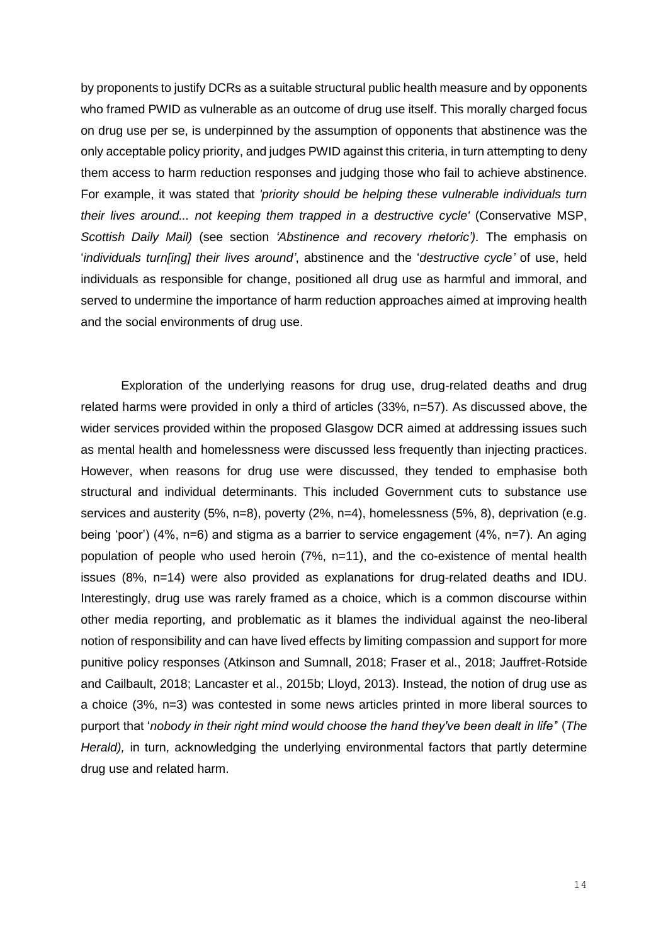by proponents to justify DCRs as a suitable structural public health measure and by opponents who framed PWID as vulnerable as an outcome of drug use itself. This morally charged focus on drug use per se, is underpinned by the assumption of opponents that abstinence was the only acceptable policy priority, and judges PWID against this criteria, in turn attempting to deny them access to harm reduction responses and judging those who fail to achieve abstinence. For example, it was stated that *'priority should be helping these vulnerable individuals turn their lives around... not keeping them trapped in a destructive cycle'* (Conservative MSP, *Scottish Daily Mail)* (see section *'Abstinence and recovery rhetoric').* The emphasis on '*individuals turn[ing] their lives around'*, abstinence and the '*destructive cycle'* of use, held individuals as responsible for change, positioned all drug use as harmful and immoral, and served to undermine the importance of harm reduction approaches aimed at improving health and the social environments of drug use.

Exploration of the underlying reasons for drug use, drug-related deaths and drug related harms were provided in only a third of articles (33%, n=57). As discussed above, the wider services provided within the proposed Glasgow DCR aimed at addressing issues such as mental health and homelessness were discussed less frequently than injecting practices. However, when reasons for drug use were discussed, they tended to emphasise both structural and individual determinants. This included Government cuts to substance use services and austerity (5%, n=8), poverty (2%, n=4), homelessness (5%, 8), deprivation (e.g. being 'poor') (4%, n=6) and stigma as a barrier to service engagement (4%, n=7). An aging population of people who used heroin (7%, n=11), and the co-existence of mental health issues (8%, n=14) were also provided as explanations for drug-related deaths and IDU. Interestingly, drug use was rarely framed as a choice, which is a common discourse within other media reporting, and problematic as it blames the individual against the neo-liberal notion of responsibility and can have lived effects by limiting compassion and support for more punitive policy responses (Atkinson and Sumnall, 2018; Fraser et al., 2018; Jauffret-Rotside and Cailbault, 2018; Lancaster et al., 2015b; Lloyd, 2013). Instead, the notion of drug use as a choice (3%, n=3) was contested in some news articles printed in more liberal sources to purport that '*nobody in their right mind would choose the hand they've been dealt in life'*' (*The Herald),* in turn, acknowledging the underlying environmental factors that partly determine drug use and related harm.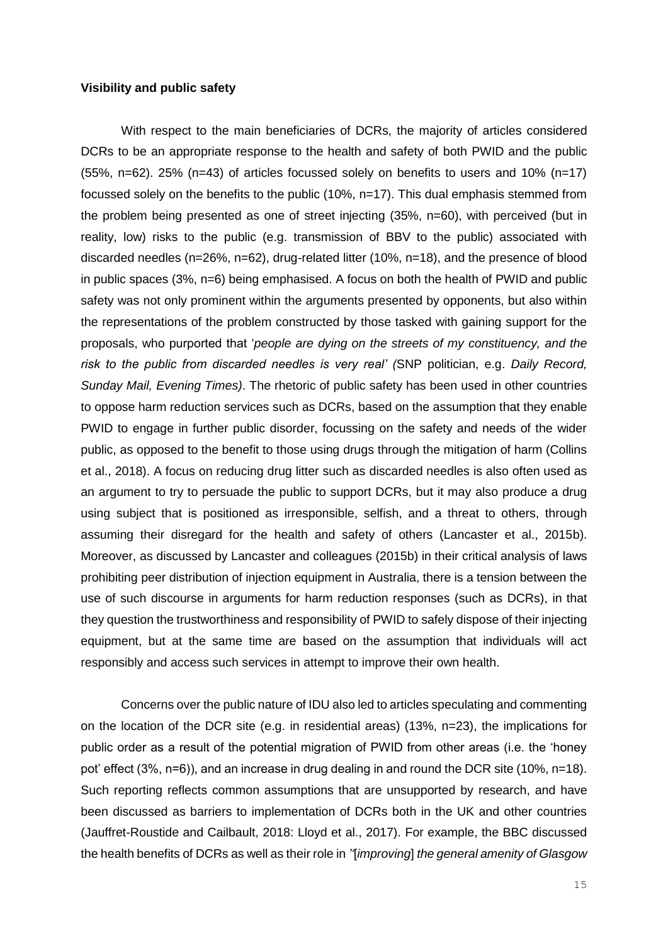#### **Visibility and public safety**

With respect to the main beneficiaries of DCRs, the majority of articles considered DCRs to be an appropriate response to the health and safety of both PWID and the public  $(55\% \nvert -62)$ . 25%  $(n=43)$  of articles focussed solely on benefits to users and 10%  $(n=17)$ focussed solely on the benefits to the public (10%, n=17). This dual emphasis stemmed from the problem being presented as one of street injecting (35%, n=60), with perceived (but in reality, low) risks to the public (e.g. transmission of BBV to the public) associated with discarded needles (n=26%, n=62), drug-related litter (10%, n=18), and the presence of blood in public spaces (3%, n=6) being emphasised. A focus on both the health of PWID and public safety was not only prominent within the arguments presented by opponents, but also within the representations of the problem constructed by those tasked with gaining support for the proposals, who purported that '*people are dying on the streets of my constituency, and the risk to the public from discarded needles is very real' (*SNP politician, e.g. *Daily Record, Sunday Mail, Evening Times)*. The rhetoric of public safety has been used in other countries to oppose harm reduction services such as DCRs, based on the assumption that they enable PWID to engage in further public disorder, focussing on the safety and needs of the wider public, as opposed to the benefit to those using drugs through the mitigation of harm (Collins et al., 2018). A focus on reducing drug litter such as discarded needles is also often used as an argument to try to persuade the public to support DCRs, but it may also produce a drug using subject that is positioned as irresponsible, selfish, and a threat to others, through assuming their disregard for the health and safety of others (Lancaster et al., 2015b). Moreover, as discussed by Lancaster and colleagues (2015b) in their critical analysis of laws prohibiting peer distribution of injection equipment in Australia, there is a tension between the use of such discourse in arguments for harm reduction responses (such as DCRs), in that they question the trustworthiness and responsibility of PWID to safely dispose of their injecting equipment, but at the same time are based on the assumption that individuals will act responsibly and access such services in attempt to improve their own health.

Concerns over the public nature of IDU also led to articles speculating and commenting on the location of the DCR site (e.g. in residential areas) (13%, n=23), the implications for public order as a result of the potential migration of PWID from other areas (i.e. the 'honey pot' effect (3%, n=6)), and an increase in drug dealing in and round the DCR site (10%, n=18). Such reporting reflects common assumptions that are unsupported by research, and have been discussed as barriers to implementation of DCRs both in the UK and other countries (Jauffret-Roustide and Cailbault, 2018: Lloyd et al., 2017). For example, the BBC discussed the health benefits of DCRs as well as their role in *''*[*improving*] *the general amenity of Glasgow*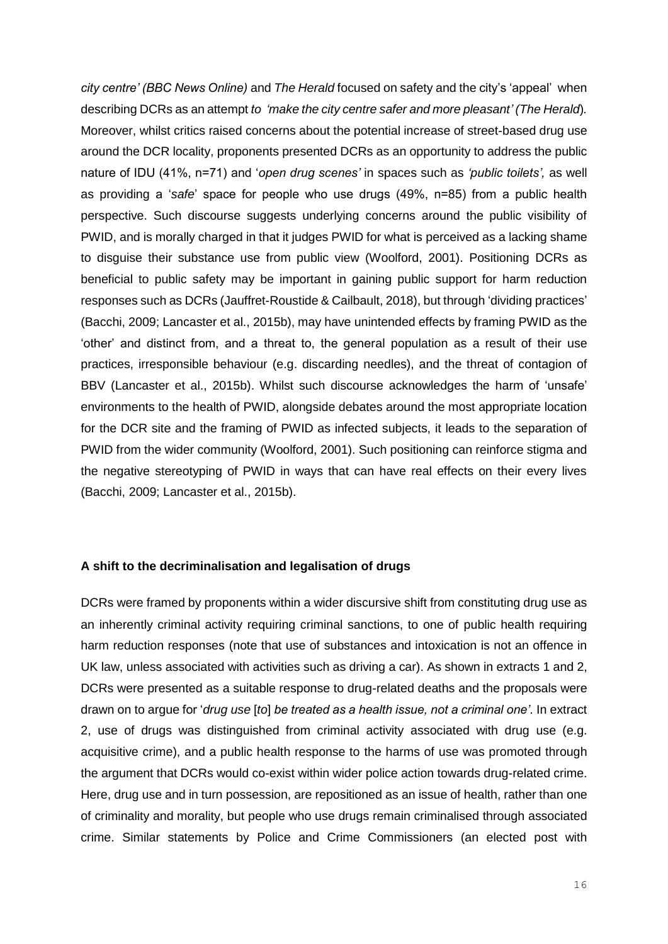*city centre' (BBC News Online)* and *The Herald* focused on safety and the city's 'appeal' when describing DCRs as an attempt *to 'make the city centre safer and more pleasant' (The Herald*)*.* Moreover, whilst critics raised concerns about the potential increase of street-based drug use around the DCR locality, proponents presented DCRs as an opportunity to address the public nature of IDU (41%, n=71) and '*open drug scenes'* in spaces such as *'public toilets',* as well as providing a '*safe*' space for people who use drugs (49%, n=85) from a public health perspective. Such discourse suggests underlying concerns around the public visibility of PWID, and is morally charged in that it judges PWID for what is perceived as a lacking shame to disguise their substance use from public view (Woolford, 2001). Positioning DCRs as beneficial to public safety may be important in gaining public support for harm reduction responses such as DCRs (Jauffret-Roustide & Cailbault, 2018), but through 'dividing practices' (Bacchi, 2009; Lancaster et al., 2015b), may have unintended effects by framing PWID as the 'other' and distinct from, and a threat to, the general population as a result of their use practices, irresponsible behaviour (e.g. discarding needles), and the threat of contagion of BBV (Lancaster et al., 2015b). Whilst such discourse acknowledges the harm of 'unsafe' environments to the health of PWID, alongside debates around the most appropriate location for the DCR site and the framing of PWID as infected subjects, it leads to the separation of PWID from the wider community (Woolford, 2001). Such positioning can reinforce stigma and the negative stereotyping of PWID in ways that can have real effects on their every lives (Bacchi, 2009; Lancaster et al., 2015b).

#### **A shift to the decriminalisation and legalisation of drugs**

DCRs were framed by proponents within a wider discursive shift from constituting drug use as an inherently criminal activity requiring criminal sanctions, to one of public health requiring harm reduction responses (note that use of substances and intoxication is not an offence in UK law, unless associated with activities such as driving a car). As shown in extracts 1 and 2, DCRs were presented as a suitable response to drug-related deaths and the proposals were drawn on to argue for '*drug use* [*to*] *be treated as a health issue, not a criminal one'*. In extract 2, use of drugs was distinguished from criminal activity associated with drug use (e.g. acquisitive crime), and a public health response to the harms of use was promoted through the argument that DCRs would co-exist within wider police action towards drug-related crime. Here, drug use and in turn possession, are repositioned as an issue of health, rather than one of criminality and morality, but people who use drugs remain criminalised through associated crime. Similar statements by Police and Crime Commissioners (an elected post with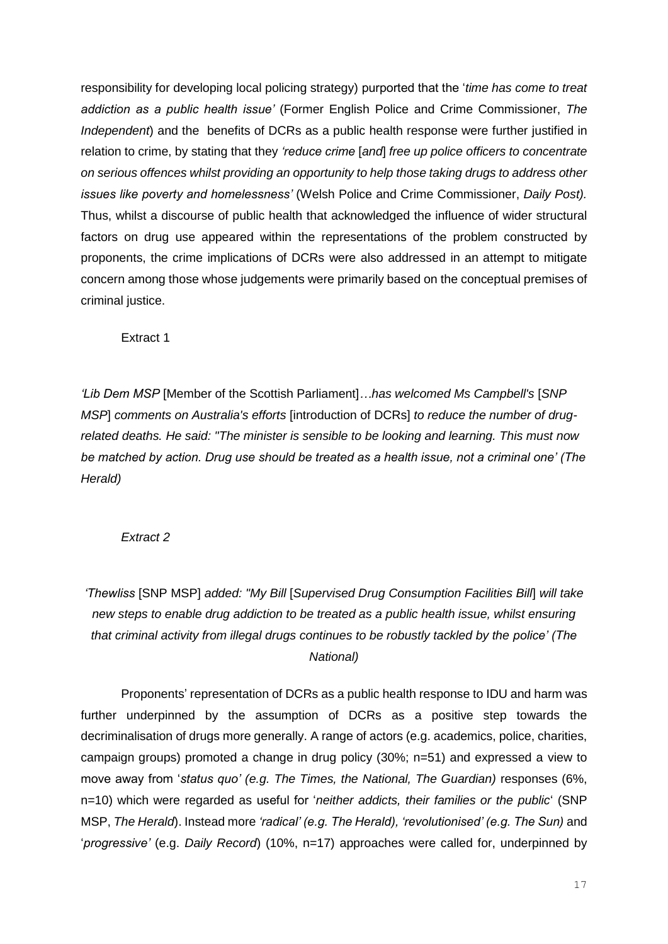responsibility for developing local policing strategy) purported that the '*time has come to treat addiction as a public health issue'* (Former English Police and Crime Commissioner, *The Independent*) and the benefits of DCRs as a public health response were further justified in relation to crime, by stating that they *'reduce crime* [*and*] *free up police officers to concentrate on serious offences whilst providing an opportunity to help those taking drugs to address other issues like poverty and homelessness'* (Welsh Police and Crime Commissioner, *Daily Post).*  Thus, whilst a discourse of public health that acknowledged the influence of wider structural factors on drug use appeared within the representations of the problem constructed by proponents, the crime implications of DCRs were also addressed in an attempt to mitigate concern among those whose judgements were primarily based on the conceptual premises of criminal justice.

Extract 1

*'Lib Dem MSP* [Member of the Scottish Parliament]*…has welcomed Ms Campbell's* [*SNP MSP*] *comments on Australia's efforts* [introduction of DCRs] *to reduce the number of drugrelated deaths. He said: "The minister is sensible to be looking and learning. This must now be matched by action. Drug use should be treated as a health issue, not a criminal one' (The Herald)*

*Extract 2*

*'Thewliss* [SNP MSP] *added: "My Bill* [*Supervised Drug Consumption Facilities Bill*] *will take new steps to enable drug addiction to be treated as a public health issue, whilst ensuring that criminal activity from illegal drugs continues to be robustly tackled by the police' (The National)*

Proponents' representation of DCRs as a public health response to IDU and harm was further underpinned by the assumption of DCRs as a positive step towards the decriminalisation of drugs more generally. A range of actors (e.g. academics, police, charities, campaign groups) promoted a change in drug policy (30%; n=51) and expressed a view to move away from '*status quo' (e.g. The Times, the National, The Guardian)* responses (6%, n=10) which were regarded as useful for '*neither addicts, their families or the public*' (SNP MSP, *The Herald*). Instead more *'radical' (e.g. The Herald), 'revolutionised' (e.g. The Sun)* and '*progressive'* (e.g. *Daily Record*) (10%, n=17) approaches were called for, underpinned by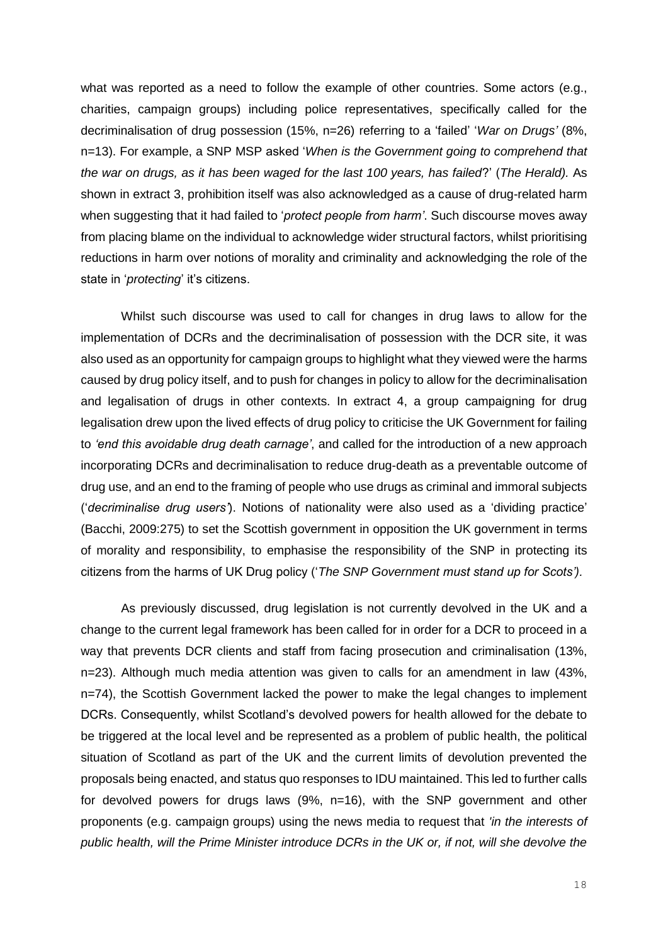what was reported as a need to follow the example of other countries. Some actors (e.g., charities, campaign groups) including police representatives, specifically called for the decriminalisation of drug possession (15%, n=26) referring to a 'failed' '*War on Drugs'* (8%, n=13). For example, a SNP MSP asked '*When is the Government going to comprehend that the war on drugs, as it has been waged for the last 100 years, has failed*?' (*The Herald).* As shown in extract 3, prohibition itself was also acknowledged as a cause of drug-related harm when suggesting that it had failed to '*protect people from harm'*. Such discourse moves away from placing blame on the individual to acknowledge wider structural factors, whilst prioritising reductions in harm over notions of morality and criminality and acknowledging the role of the state in '*protecting*' it's citizens.

Whilst such discourse was used to call for changes in drug laws to allow for the implementation of DCRs and the decriminalisation of possession with the DCR site, it was also used as an opportunity for campaign groups to highlight what they viewed were the harms caused by drug policy itself, and to push for changes in policy to allow for the decriminalisation and legalisation of drugs in other contexts. In extract 4, a group campaigning for drug legalisation drew upon the lived effects of drug policy to criticise the UK Government for failing to *'end this avoidable drug death carnage'*, and called for the introduction of a new approach incorporating DCRs and decriminalisation to reduce drug-death as a preventable outcome of drug use, and an end to the framing of people who use drugs as criminal and immoral subjects ('*decriminalise drug users'*). Notions of nationality were also used as a 'dividing practice' (Bacchi, 2009:275) to set the Scottish government in opposition the UK government in terms of morality and responsibility, to emphasise the responsibility of the SNP in protecting its citizens from the harms of UK Drug policy ('*The SNP Government must stand up for Scots').*

As previously discussed, drug legislation is not currently devolved in the UK and a change to the current legal framework has been called for in order for a DCR to proceed in a way that prevents DCR clients and staff from facing prosecution and criminalisation (13%, n=23). Although much media attention was given to calls for an amendment in law (43%, n=74), the Scottish Government lacked the power to make the legal changes to implement DCRs. Consequently, whilst Scotland's devolved powers for health allowed for the debate to be triggered at the local level and be represented as a problem of public health, the political situation of Scotland as part of the UK and the current limits of devolution prevented the proposals being enacted, and status quo responses to IDU maintained. This led to further calls for devolved powers for drugs laws (9%, n=16), with the SNP government and other proponents (e.g. campaign groups) using the news media to request that *'in the interests of public health, will the Prime Minister introduce DCRs in the UK or, if not, will she devolve the*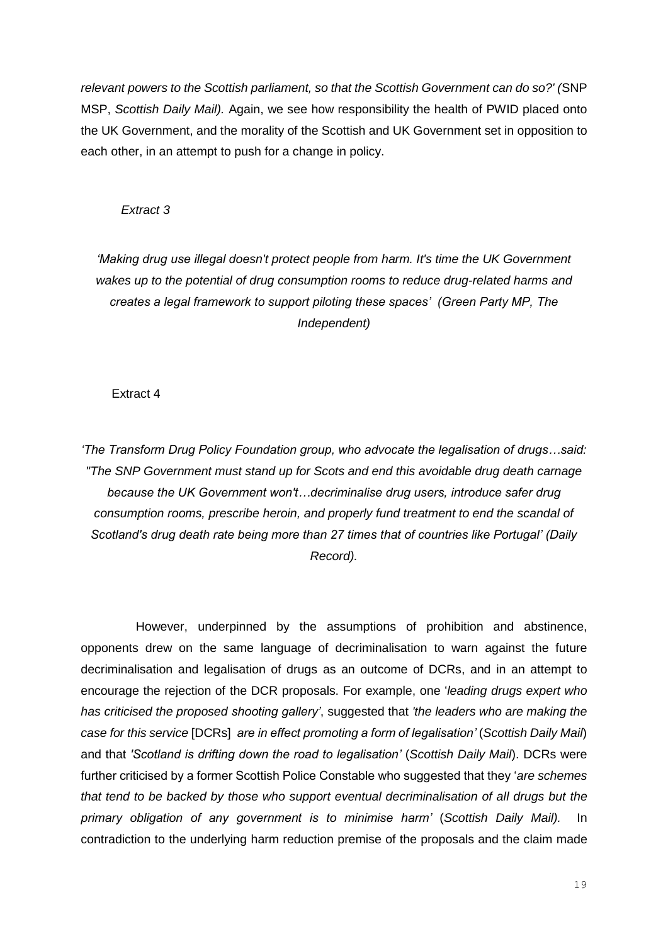*relevant powers to the Scottish parliament, so that the Scottish Government can do so?' (*SNP MSP, *Scottish Daily Mail).* Again, we see how responsibility the health of PWID placed onto the UK Government, and the morality of the Scottish and UK Government set in opposition to each other, in an attempt to push for a change in policy.

#### *Extract 3*

*'Making drug use illegal doesn't protect people from harm. It's time the UK Government wakes up to the potential of drug consumption rooms to reduce drug-related harms and creates a legal framework to support piloting these spaces' (Green Party MP, The Independent)*

Extract 4

*'The Transform Drug Policy Foundation group, who advocate the legalisation of drugs…said: "The SNP Government must stand up for Scots and end this avoidable drug death carnage because the UK Government won't…decriminalise drug users, introduce safer drug consumption rooms, prescribe heroin, and properly fund treatment to end the scandal of Scotland's drug death rate being more than 27 times that of countries like Portugal' (Daily Record).*

 However, underpinned by the assumptions of prohibition and abstinence, opponents drew on the same language of decriminalisation to warn against the future decriminalisation and legalisation of drugs as an outcome of DCRs, and in an attempt to encourage the rejection of the DCR proposals. For example, one '*leading drugs expert who has criticised the proposed shooting gallery'*, suggested that *'the leaders who are making the case for this service* [DCRs] *are in effect promoting a form of legalisation'* (*Scottish Daily Mail*) and that *'Scotland is drifting down the road to legalisation'* (*Scottish Daily Mail*). DCRs were further criticised by a former Scottish Police Constable who suggested that they '*are schemes that tend to be backed by those who support eventual decriminalisation of all drugs but the primary obligation of any government is to minimise harm'* (*Scottish Daily Mail).* In contradiction to the underlying harm reduction premise of the proposals and the claim made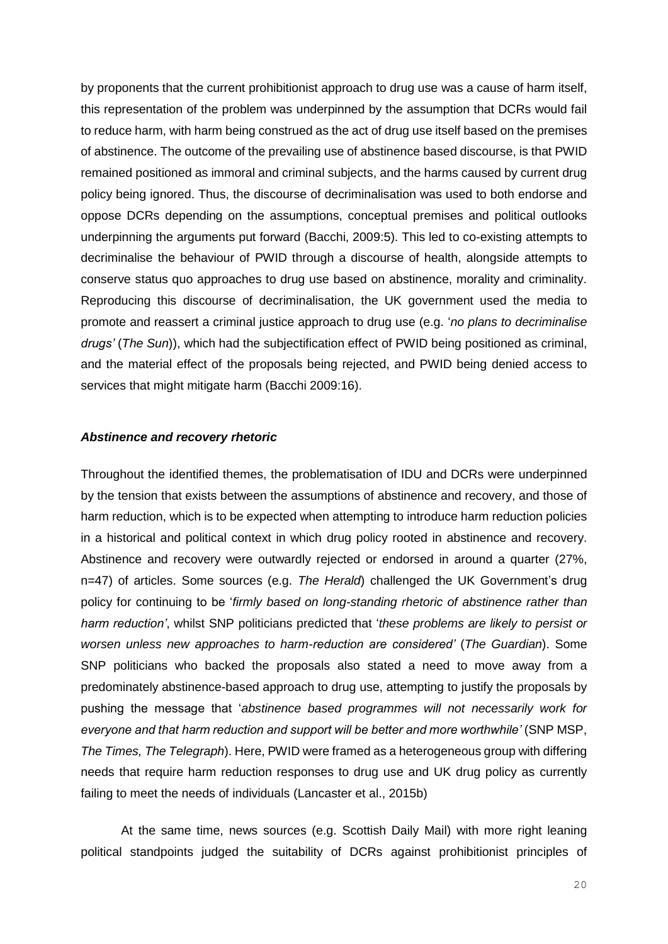by proponents that the current prohibitionist approach to drug use was a cause of harm itself, this representation of the problem was underpinned by the assumption that DCRs would fail to reduce harm, with harm being construed as the act of drug use itself based on the premises of abstinence. The outcome of the prevailing use of abstinence based discourse, is that PWID remained positioned as immoral and criminal subjects, and the harms caused by current drug policy being ignored. Thus, the discourse of decriminalisation was used to both endorse and oppose DCRs depending on the assumptions, conceptual premises and political outlooks underpinning the arguments put forward (Bacchi, 2009:5). This led to co-existing attempts to decriminalise the behaviour of PWID through a discourse of health, alongside attempts to conserve status quo approaches to drug use based on abstinence, morality and criminality. Reproducing this discourse of decriminalisation, the UK government used the media to promote and reassert a criminal justice approach to drug use (e.g. '*no plans to decriminalise drugs'* (*The Sun*)), which had the subjectification effect of PWID being positioned as criminal, and the material effect of the proposals being rejected, and PWID being denied access to services that might mitigate harm (Bacchi 2009:16).

#### *Abstinence and recovery rhetoric*

Throughout the identified themes, the problematisation of IDU and DCRs were underpinned by the tension that exists between the assumptions of abstinence and recovery, and those of harm reduction, which is to be expected when attempting to introduce harm reduction policies in a historical and political context in which drug policy rooted in abstinence and recovery. Abstinence and recovery were outwardly rejected or endorsed in around a quarter (27%, n=47) of articles. Some sources (e.g. *The Herald*) challenged the UK Government's drug policy for continuing to be '*firmly based on long-standing rhetoric of abstinence rather than harm reduction'*, whilst SNP politicians predicted that '*these problems are likely to persist or worsen unless new approaches to harm-reduction are considered'* (*The Guardian*). Some SNP politicians who backed the proposals also stated a need to move away from a predominately abstinence-based approach to drug use, attempting to justify the proposals by pushing the message that '*abstinence based programmes will not necessarily work for everyone and that harm reduction and support will be better and more worthwhile'* (SNP MSP, *The Times, The Telegraph*). Here, PWID were framed as a heterogeneous group with differing needs that require harm reduction responses to drug use and UK drug policy as currently failing to meet the needs of individuals (Lancaster et al., 2015b)

At the same time, news sources (e.g. Scottish Daily Mail) with more right leaning political standpoints judged the suitability of DCRs against prohibitionist principles of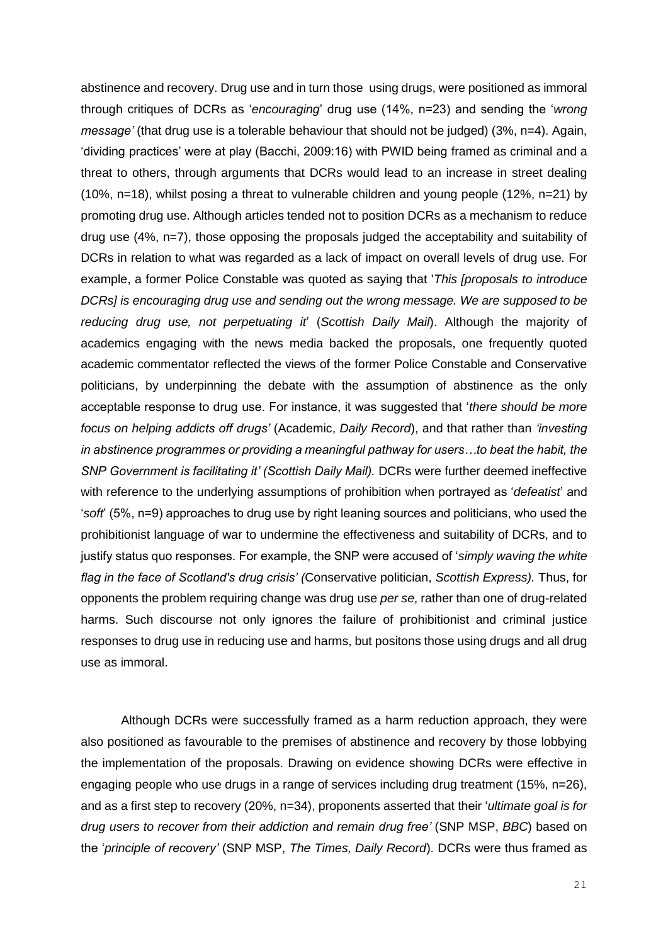abstinence and recovery. Drug use and in turn those using drugs, were positioned as immoral through critiques of DCRs as '*encouraging*' drug use (14%, n=23) and sending the '*wrong message'* (that drug use is a tolerable behaviour that should not be judged) (3%, n=4). Again, 'dividing practices' were at play (Bacchi, 2009:16) with PWID being framed as criminal and a threat to others, through arguments that DCRs would lead to an increase in street dealing (10%, n=18), whilst posing a threat to vulnerable children and young people (12%, n=21) by promoting drug use. Although articles tended not to position DCRs as a mechanism to reduce drug use (4%, n=7), those opposing the proposals judged the acceptability and suitability of DCRs in relation to what was regarded as a lack of impact on overall levels of drug use. For example, a former Police Constable was quoted as saying that '*This [proposals to introduce DCRs] is encouraging drug use and sending out the wrong message. We are supposed to be reducing drug use, not perpetuating it*' (*Scottish Daily Mail*). Although the majority of academics engaging with the news media backed the proposals, one frequently quoted academic commentator reflected the views of the former Police Constable and Conservative politicians, by underpinning the debate with the assumption of abstinence as the only acceptable response to drug use. For instance, it was suggested that '*there should be more focus on helping addicts off drugs'* (Academic, *Daily Record*), and that rather than *'investing in abstinence programmes or providing a meaningful pathway for users…to beat the habit, the SNP Government is facilitating it' (Scottish Daily Mail).* DCRs were further deemed ineffective with reference to the underlying assumptions of prohibition when portrayed as '*defeatist*' and '*soft*' (5%, n=9) approaches to drug use by right leaning sources and politicians, who used the prohibitionist language of war to undermine the effectiveness and suitability of DCRs, and to justify status quo responses. For example, the SNP were accused of '*simply waving the white flag in the face of Scotland's drug crisis' (*Conservative politician, *Scottish Express).* Thus, for opponents the problem requiring change was drug use *per se*, rather than one of drug-related harms. Such discourse not only ignores the failure of prohibitionist and criminal justice responses to drug use in reducing use and harms, but positons those using drugs and all drug use as immoral.

Although DCRs were successfully framed as a harm reduction approach, they were also positioned as favourable to the premises of abstinence and recovery by those lobbying the implementation of the proposals. Drawing on evidence showing DCRs were effective in engaging people who use drugs in a range of services including drug treatment (15%, n=26), and as a first step to recovery (20%, n=34), proponents asserted that their '*ultimate goal is for drug users to recover from their addiction and remain drug free'* (SNP MSP, *BBC*) based on the '*principle of recovery'* (SNP MSP, *The Times, Daily Record*). DCRs were thus framed as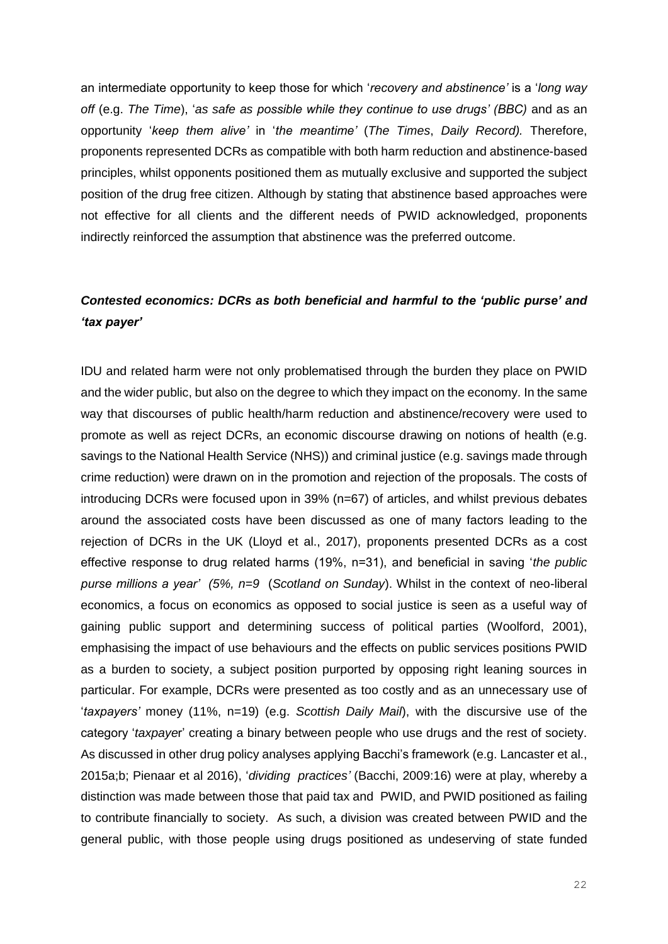an intermediate opportunity to keep those for which '*recovery and abstinence'* is a '*long way off* (e.g. *The Time*), '*as safe as possible while they continue to use drugs' (BBC)* and as an opportunity '*keep them alive'* in '*the meantime'* (*The Times*, *Daily Record).* Therefore, proponents represented DCRs as compatible with both harm reduction and abstinence-based principles, whilst opponents positioned them as mutually exclusive and supported the subject position of the drug free citizen. Although by stating that abstinence based approaches were not effective for all clients and the different needs of PWID acknowledged, proponents indirectly reinforced the assumption that abstinence was the preferred outcome.

# *Contested economics: DCRs as both beneficial and harmful to the 'public purse' and 'tax payer'*

IDU and related harm were not only problematised through the burden they place on PWID and the wider public, but also on the degree to which they impact on the economy. In the same way that discourses of public health/harm reduction and abstinence/recovery were used to promote as well as reject DCRs, an economic discourse drawing on notions of health (e.g. savings to the National Health Service (NHS)) and criminal justice (e.g. savings made through crime reduction) were drawn on in the promotion and rejection of the proposals. The costs of introducing DCRs were focused upon in 39% (n=67) of articles, and whilst previous debates around the associated costs have been discussed as one of many factors leading to the rejection of DCRs in the UK (Lloyd et al., 2017), proponents presented DCRs as a cost effective response to drug related harms (19%, n=31), and beneficial in saving '*the public purse millions a year' (5%, n=9* (*Scotland on Sunday*). Whilst in the context of neo-liberal economics, a focus on economics as opposed to social justice is seen as a useful way of gaining public support and determining success of political parties (Woolford, 2001), emphasising the impact of use behaviours and the effects on public services positions PWID as a burden to society, a subject position purported by opposing right leaning sources in particular. For example, DCRs were presented as too costly and as an unnecessary use of '*taxpayers'* money (11%, n=19) (e.g. *Scottish Daily Mail*), with the discursive use of the category '*taxpaye*r' creating a binary between people who use drugs and the rest of society. As discussed in other drug policy analyses applying Bacchi's framework (e.g. Lancaster et al., 2015a;b; Pienaar et al 2016), '*dividing practices'* (Bacchi, 2009:16) were at play, whereby a distinction was made between those that paid tax and PWID, and PWID positioned as failing to contribute financially to society. As such, a division was created between PWID and the general public, with those people using drugs positioned as undeserving of state funded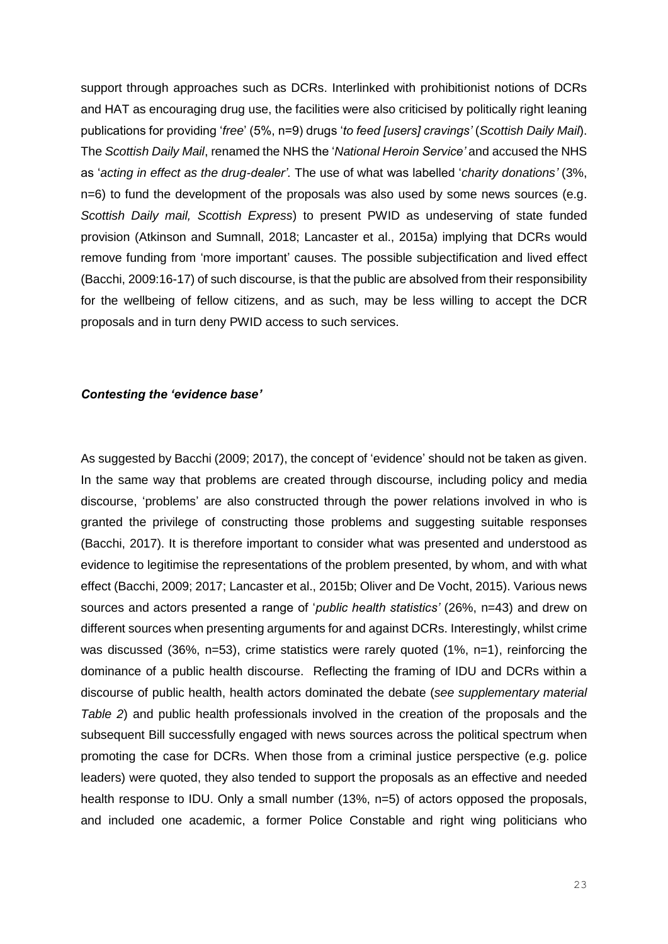support through approaches such as DCRs. Interlinked with prohibitionist notions of DCRs and HAT as encouraging drug use, the facilities were also criticised by politically right leaning publications for providing '*free*' (5%, n=9) drugs '*to feed [users] cravings'* (*Scottish Daily Mail*). The *Scottish Daily Mail*, renamed the NHS the '*National Heroin Service'* and accused the NHS as '*acting in effect as the drug-dealer'.* The use of what was labelled '*charity donations'* (3%, n=6) to fund the development of the proposals was also used by some news sources (e.g. *Scottish Daily mail, Scottish Express*) to present PWID as undeserving of state funded provision (Atkinson and Sumnall, 2018; Lancaster et al., 2015a) implying that DCRs would remove funding from 'more important' causes. The possible subjectification and lived effect (Bacchi, 2009:16-17) of such discourse, is that the public are absolved from their responsibility for the wellbeing of fellow citizens, and as such, may be less willing to accept the DCR proposals and in turn deny PWID access to such services.

#### *Contesting the 'evidence base'*

As suggested by Bacchi (2009; 2017), the concept of 'evidence' should not be taken as given. In the same way that problems are created through discourse, including policy and media discourse, 'problems' are also constructed through the power relations involved in who is granted the privilege of constructing those problems and suggesting suitable responses (Bacchi, 2017). It is therefore important to consider what was presented and understood as evidence to legitimise the representations of the problem presented, by whom, and with what effect (Bacchi, 2009; 2017; Lancaster et al., 2015b; Oliver and De Vocht, 2015). Various news sources and actors presented a range of '*public health statistics'* (26%, n=43) and drew on different sources when presenting arguments for and against DCRs. Interestingly, whilst crime was discussed (36%, n=53), crime statistics were rarely quoted (1%, n=1), reinforcing the dominance of a public health discourse. Reflecting the framing of IDU and DCRs within a discourse of public health, health actors dominated the debate (*see supplementary material Table 2*) and public health professionals involved in the creation of the proposals and the subsequent Bill successfully engaged with news sources across the political spectrum when promoting the case for DCRs. When those from a criminal justice perspective (e.g. police leaders) were quoted, they also tended to support the proposals as an effective and needed health response to IDU. Only a small number (13%, n=5) of actors opposed the proposals, and included one academic, a former Police Constable and right wing politicians who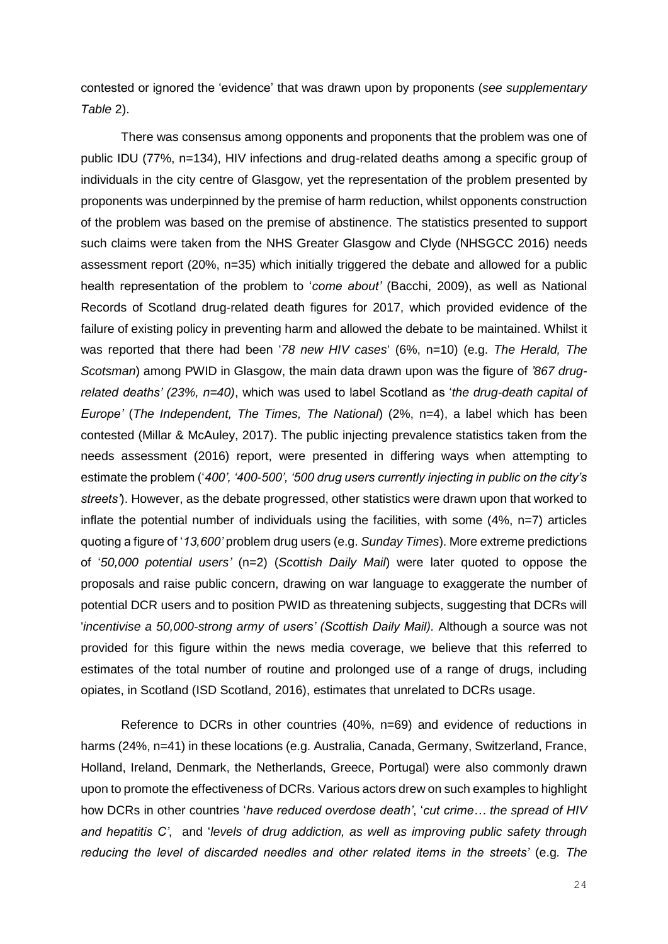contested or ignored the 'evidence' that was drawn upon by proponents (*see supplementary Table* 2).

There was consensus among opponents and proponents that the problem was one of public IDU (77%, n=134), HIV infections and drug-related deaths among a specific group of individuals in the city centre of Glasgow, yet the representation of the problem presented by proponents was underpinned by the premise of harm reduction, whilst opponents construction of the problem was based on the premise of abstinence. The statistics presented to support such claims were taken from the NHS Greater Glasgow and Clyde (NHSGCC 2016) needs assessment report (20%, n=35) which initially triggered the debate and allowed for a public health representation of the problem to '*come about'* (Bacchi, 2009), as well as National Records of Scotland drug-related death figures for 2017, which provided evidence of the failure of existing policy in preventing harm and allowed the debate to be maintained. Whilst it was reported that there had been '*78 new HIV cases*' (6%, n=10) (e.g. *The Herald, The Scotsman*) among PWID in Glasgow, the main data drawn upon was the figure of *'867 drugrelated deaths' (23%, n=40)*, which was used to label Scotland as '*the drug-death capital of Europe'* (*The Independent, The Times, The National*) (2%, n=4), a label which has been contested (Millar & McAuley, 2017). The public injecting prevalence statistics taken from the needs assessment (2016) report, were presented in differing ways when attempting to estimate the problem ('*400', '400-500', '500 drug users currently injecting in public on the city's streets'*). However, as the debate progressed, other statistics were drawn upon that worked to inflate the potential number of individuals using the facilities, with some (4%, n=7) articles quoting a figure of '*13,600'* problem drug users (e.g. *Sunday Times*). More extreme predictions of '*50,000 potential users'* (n=2) (*Scottish Daily Mail*) were later quoted to oppose the proposals and raise public concern, drawing on war language to exaggerate the number of potential DCR users and to position PWID as threatening subjects, suggesting that DCRs will '*incentivise a 50,000-strong army of users' (Scottish Daily Mail).* Although a source was not provided for this figure within the news media coverage, we believe that this referred to estimates of the total number of routine and prolonged use of a range of drugs, including opiates, in Scotland (ISD Scotland, 2016), estimates that unrelated to DCRs usage.

Reference to DCRs in other countries (40%, n=69) and evidence of reductions in harms (24%, n=41) in these locations (e.g. Australia, Canada, Germany, Switzerland, France, Holland, Ireland, Denmark, the Netherlands, Greece, Portugal) were also commonly drawn upon to promote the effectiveness of DCRs. Various actors drew on such examples to highlight how DCRs in other countries '*have reduced overdose death'*, '*cut crime… the spread of HIV and hepatitis C'*, and '*levels of drug addiction, as well as improving public safety through reducing the level of discarded needles and other related items in the streets'* (e.g*. The*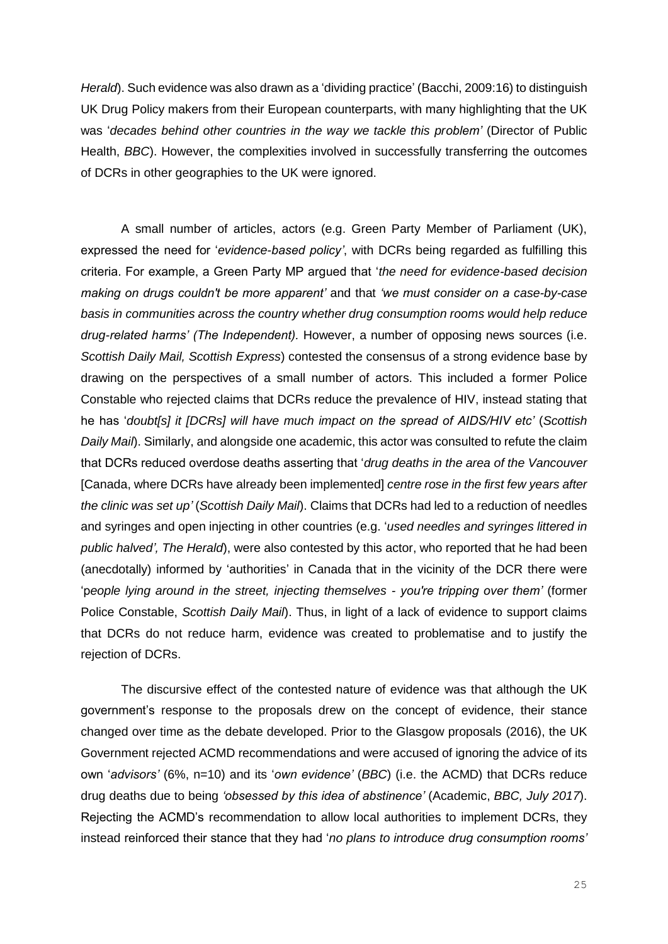*Herald*). Such evidence was also drawn as a 'dividing practice' (Bacchi, 2009:16) to distinguish UK Drug Policy makers from their European counterparts, with many highlighting that the UK was '*decades behind other countries in the way we tackle this problem'* (Director of Public Health, *BBC*). However, the complexities involved in successfully transferring the outcomes of DCRs in other geographies to the UK were ignored.

A small number of articles, actors (e.g. Green Party Member of Parliament (UK), expressed the need for '*evidence-based policy'*, with DCRs being regarded as fulfilling this criteria. For example, a Green Party MP argued that '*the need for evidence-based decision making on drugs couldn't be more apparent'* and that *'we must consider on a case-by-case basis in communities across the country whether drug consumption rooms would help reduce drug-related harms' (The Independent).* However, a number of opposing news sources (i.e. *Scottish Daily Mail, Scottish Express*) contested the consensus of a strong evidence base by drawing on the perspectives of a small number of actors. This included a former Police Constable who rejected claims that DCRs reduce the prevalence of HIV, instead stating that he has '*doubt[s] it [DCRs] will have much impact on the spread of AIDS/HIV etc'* (*Scottish Daily Mail*). Similarly, and alongside one academic, this actor was consulted to refute the claim that DCRs reduced overdose deaths asserting that '*drug deaths in the area of the Vancouver*  [Canada, where DCRs have already been implemented] *centre rose in the first few years after the clinic was set up'* (*Scottish Daily Mail*). Claims that DCRs had led to a reduction of needles and syringes and open injecting in other countries (e.g. '*used needles and syringes littered in public halved', The Herald*), were also contested by this actor, who reported that he had been (anecdotally) informed by 'authorities' in Canada that in the vicinity of the DCR there were 'p*eople lying around in the street, injecting themselves - you're tripping over them'* (former Police Constable, *Scottish Daily Mail*). Thus, in light of a lack of evidence to support claims that DCRs do not reduce harm, evidence was created to problematise and to justify the rejection of DCRs.

The discursive effect of the contested nature of evidence was that although the UK government's response to the proposals drew on the concept of evidence, their stance changed over time as the debate developed. Prior to the Glasgow proposals (2016), the UK Government rejected ACMD recommendations and were accused of ignoring the advice of its own '*advisors'* (6%, n=10) and its '*own evidence'* (*BBC*) (i.e. the ACMD) that DCRs reduce drug deaths due to being *'obsessed by this idea of abstinence'* (Academic, *BBC, July 2017*). Rejecting the ACMD's recommendation to allow local authorities to implement DCRs, they instead reinforced their stance that they had '*no plans to introduce drug consumption rooms'*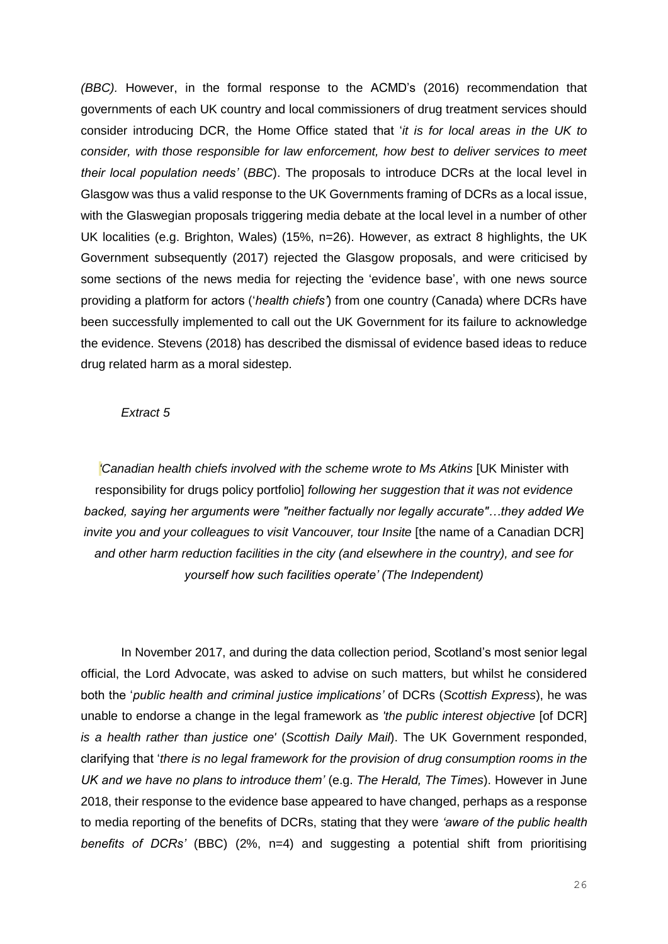*(BBC).* However, in the formal response to the ACMD's (2016) recommendation that governments of each UK country and local commissioners of drug treatment services should consider introducing DCR, the Home Office stated that '*it is for local areas in the UK to consider, with those responsible for law enforcement, how best to deliver services to meet their local population needs'* (*BBC*). The proposals to introduce DCRs at the local level in Glasgow was thus a valid response to the UK Governments framing of DCRs as a local issue, with the Glaswegian proposals triggering media debate at the local level in a number of other UK localities (e.g. Brighton, Wales) (15%, n=26). However, as extract 8 highlights, the UK Government subsequently (2017) rejected the Glasgow proposals, and were criticised by some sections of the news media for rejecting the 'evidence base', with one news source providing a platform for actors ('*health chiefs'*) from one country (Canada) where DCRs have been successfully implemented to call out the UK Government for its failure to acknowledge the evidence. Stevens (2018) has described the dismissal of evidence based ideas to reduce drug related harm as a moral sidestep.

#### *Extract 5*

*'Canadian health chiefs involved with the scheme wrote to Ms Atkins* [UK Minister with responsibility for drugs policy portfolio] *following her suggestion that it was not evidence backed, saying her arguments were "neither factually nor legally accurate"…they added We invite you and your colleagues to visit Vancouver, tour Insite* [the name of a Canadian DCR] *and other harm reduction facilities in the city (and elsewhere in the country), and see for yourself how such facilities operate' (The Independent)* 

In November 2017, and during the data collection period, Scotland's most senior legal official, the Lord Advocate, was asked to advise on such matters, but whilst he considered both the '*public health and criminal justice implications'* of DCRs (*Scottish Express*), he was unable to endorse a change in the legal framework as *'the public interest objective* [of DCR] *is a health rather than justice one'* (*Scottish Daily Mail*). The UK Government responded, clarifying that '*there is no legal framework for the provision of drug consumption rooms in the UK and we have no plans to introduce them'* (e.g. *The Herald, The Times*). However in June 2018, their response to the evidence base appeared to have changed, perhaps as a response to media reporting of the benefits of DCRs, stating that they were *'aware of the public health benefits of DCRs'* (BBC) (2%, n=4) and suggesting a potential shift from prioritising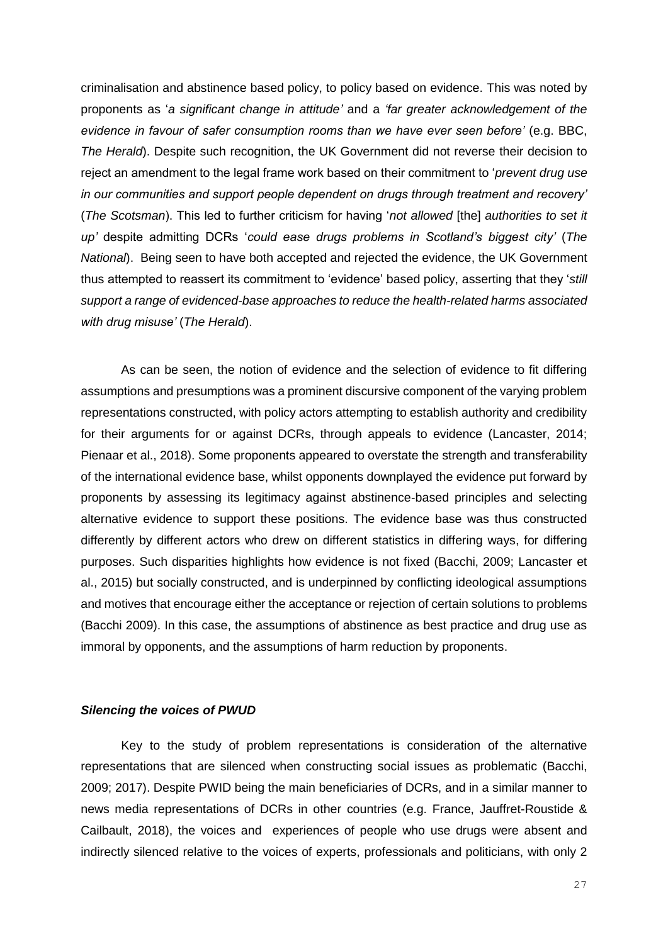criminalisation and abstinence based policy, to policy based on evidence. This was noted by proponents as '*a significant change in attitude'* and a *'far greater acknowledgement of the evidence in favour of safer consumption rooms than we have ever seen before'* (e.g. BBC, *The Herald*). Despite such recognition, the UK Government did not reverse their decision to reject an amendment to the legal frame work based on their commitment to '*prevent drug use in our communities and support people dependent on drugs through treatment and recovery'* (*The Scotsman*). This led to further criticism for having '*not allowed* [the] *authorities to set it up'* despite admitting DCRs '*could ease drugs problems in Scotland's biggest city'* (*The National*). Being seen to have both accepted and rejected the evidence, the UK Government thus attempted to reassert its commitment to 'evidence' based policy, asserting that they '*still support a range of evidenced-base approaches to reduce the health-related harms associated with drug misuse'* (*The Herald*).

As can be seen, the notion of evidence and the selection of evidence to fit differing assumptions and presumptions was a prominent discursive component of the varying problem representations constructed, with policy actors attempting to establish authority and credibility for their arguments for or against DCRs, through appeals to evidence (Lancaster, 2014; Pienaar et al., 2018). Some proponents appeared to overstate the strength and transferability of the international evidence base, whilst opponents downplayed the evidence put forward by proponents by assessing its legitimacy against abstinence-based principles and selecting alternative evidence to support these positions. The evidence base was thus constructed differently by different actors who drew on different statistics in differing ways, for differing purposes. Such disparities highlights how evidence is not fixed (Bacchi, 2009; Lancaster et al., 2015) but socially constructed, and is underpinned by conflicting ideological assumptions and motives that encourage either the acceptance or rejection of certain solutions to problems (Bacchi 2009). In this case, the assumptions of abstinence as best practice and drug use as immoral by opponents, and the assumptions of harm reduction by proponents.

#### *Silencing the voices of PWUD*

Key to the study of problem representations is consideration of the alternative representations that are silenced when constructing social issues as problematic (Bacchi, 2009; 2017). Despite PWID being the main beneficiaries of DCRs, and in a similar manner to news media representations of DCRs in other countries (e.g. France, Jauffret-Roustide & Cailbault, 2018), the voices and experiences of people who use drugs were absent and indirectly silenced relative to the voices of experts, professionals and politicians, with only 2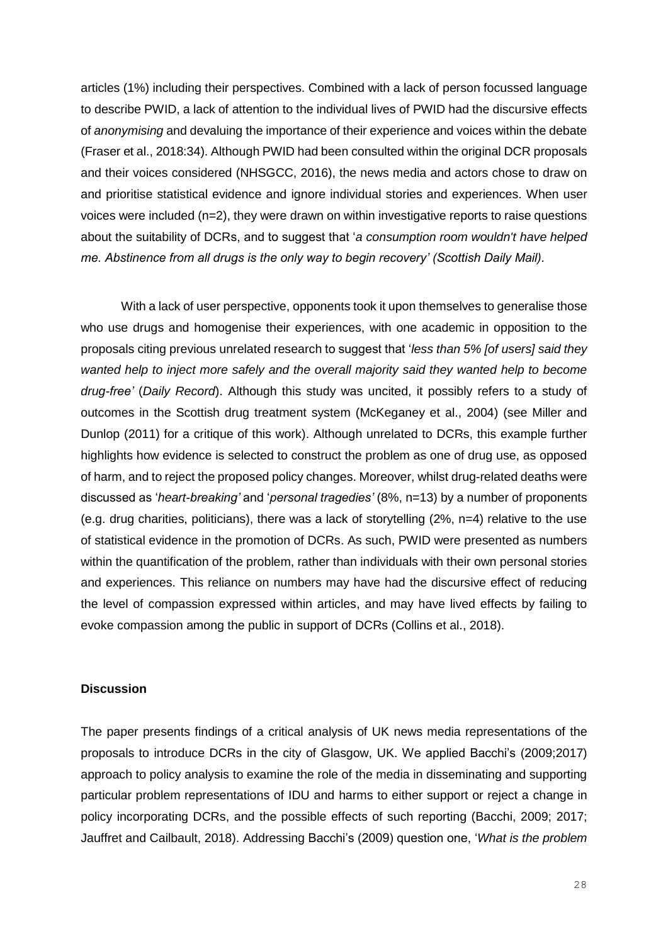articles (1%) including their perspectives. Combined with a lack of person focussed language to describe PWID, a lack of attention to the individual lives of PWID had the discursive effects of *anonymising* and devaluing the importance of their experience and voices within the debate (Fraser et al., 2018:34). Although PWID had been consulted within the original DCR proposals and their voices considered (NHSGCC, 2016), the news media and actors chose to draw on and prioritise statistical evidence and ignore individual stories and experiences. When user voices were included (n=2), they were drawn on within investigative reports to raise questions about the suitability of DCRs, and to suggest that '*a consumption room wouldn't have helped me. Abstinence from all drugs is the only way to begin recovery' (Scottish Daily Mail).*

With a lack of user perspective, opponents took it upon themselves to generalise those who use drugs and homogenise their experiences, with one academic in opposition to the proposals citing previous unrelated research to suggest that '*less than 5% [of users] said they wanted help to inject more safely and the overall majority said they wanted help to become drug-free'* (*Daily Record*). Although this study was uncited, it possibly refers to a study of outcomes in the Scottish drug treatment system (McKeganey et al., 2004) (see Miller and Dunlop (2011) for a critique of this work). Although unrelated to DCRs, this example further highlights how evidence is selected to construct the problem as one of drug use, as opposed of harm, and to reject the proposed policy changes. Moreover, whilst drug-related deaths were discussed as '*heart-breaking'* and '*personal tragedies'* (8%, n=13) by a number of proponents (e.g. drug charities, politicians), there was a lack of storytelling (2%, n=4) relative to the use of statistical evidence in the promotion of DCRs. As such, PWID were presented as numbers within the quantification of the problem, rather than individuals with their own personal stories and experiences. This reliance on numbers may have had the discursive effect of reducing the level of compassion expressed within articles, and may have lived effects by failing to evoke compassion among the public in support of DCRs (Collins et al., 2018).

#### **Discussion**

The paper presents findings of a critical analysis of UK news media representations of the proposals to introduce DCRs in the city of Glasgow, UK. We applied Bacchi's (2009;2017) approach to policy analysis to examine the role of the media in disseminating and supporting particular problem representations of IDU and harms to either support or reject a change in policy incorporating DCRs, and the possible effects of such reporting (Bacchi, 2009; 2017; Jauffret and Cailbault, 2018). Addressing Bacchi's (2009) question one, '*What is the problem*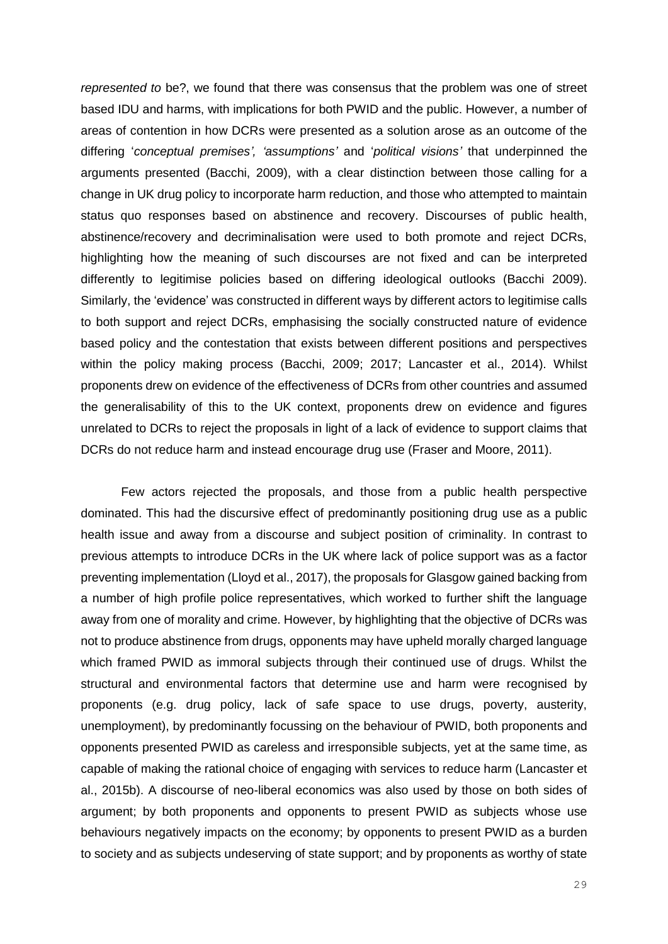*represented to* be?, we found that there was consensus that the problem was one of street based IDU and harms, with implications for both PWID and the public. However, a number of areas of contention in how DCRs were presented as a solution arose as an outcome of the differing '*conceptual premises', 'assumptions'* and '*political visions'* that underpinned the arguments presented (Bacchi, 2009), with a clear distinction between those calling for a change in UK drug policy to incorporate harm reduction, and those who attempted to maintain status quo responses based on abstinence and recovery. Discourses of public health, abstinence/recovery and decriminalisation were used to both promote and reject DCRs, highlighting how the meaning of such discourses are not fixed and can be interpreted differently to legitimise policies based on differing ideological outlooks (Bacchi 2009). Similarly, the 'evidence' was constructed in different ways by different actors to legitimise calls to both support and reject DCRs, emphasising the socially constructed nature of evidence based policy and the contestation that exists between different positions and perspectives within the policy making process (Bacchi, 2009; 2017; Lancaster et al., 2014). Whilst proponents drew on evidence of the effectiveness of DCRs from other countries and assumed the generalisability of this to the UK context, proponents drew on evidence and figures unrelated to DCRs to reject the proposals in light of a lack of evidence to support claims that DCRs do not reduce harm and instead encourage drug use (Fraser and Moore, 2011).

Few actors rejected the proposals, and those from a public health perspective dominated. This had the discursive effect of predominantly positioning drug use as a public health issue and away from a discourse and subject position of criminality. In contrast to previous attempts to introduce DCRs in the UK where lack of police support was as a factor preventing implementation (Lloyd et al., 2017), the proposals for Glasgow gained backing from a number of high profile police representatives, which worked to further shift the language away from one of morality and crime. However, by highlighting that the objective of DCRs was not to produce abstinence from drugs, opponents may have upheld morally charged language which framed PWID as immoral subjects through their continued use of drugs. Whilst the structural and environmental factors that determine use and harm were recognised by proponents (e.g. drug policy, lack of safe space to use drugs, poverty, austerity, unemployment), by predominantly focussing on the behaviour of PWID, both proponents and opponents presented PWID as careless and irresponsible subjects, yet at the same time, as capable of making the rational choice of engaging with services to reduce harm (Lancaster et al., 2015b). A discourse of neo-liberal economics was also used by those on both sides of argument; by both proponents and opponents to present PWID as subjects whose use behaviours negatively impacts on the economy; by opponents to present PWID as a burden to society and as subjects undeserving of state support; and by proponents as worthy of state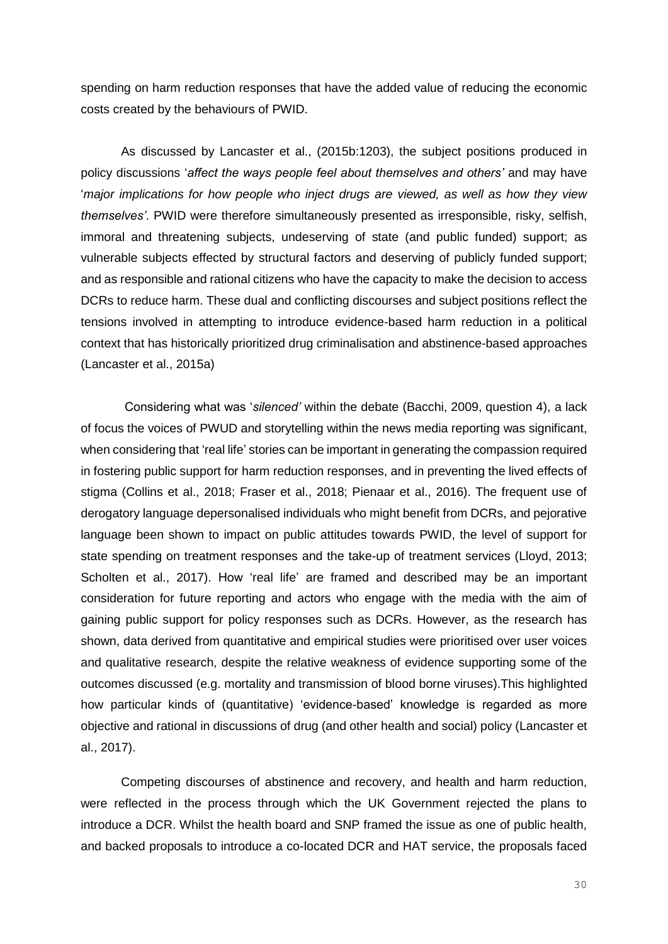spending on harm reduction responses that have the added value of reducing the economic costs created by the behaviours of PWID.

As discussed by Lancaster et al., (2015b:1203), the subject positions produced in policy discussions '*affect the ways people feel about themselves and others'* and may have '*major implications for how people who inject drugs are viewed, as well as how they view themselves'*. PWID were therefore simultaneously presented as irresponsible, risky, selfish, immoral and threatening subjects, undeserving of state (and public funded) support; as vulnerable subjects effected by structural factors and deserving of publicly funded support; and as responsible and rational citizens who have the capacity to make the decision to access DCRs to reduce harm. These dual and conflicting discourses and subject positions reflect the tensions involved in attempting to introduce evidence-based harm reduction in a political context that has historically prioritized drug criminalisation and abstinence-based approaches (Lancaster et al., 2015a)

Considering what was '*silenced'* within the debate (Bacchi, 2009, question 4), a lack of focus the voices of PWUD and storytelling within the news media reporting was significant, when considering that 'real life' stories can be important in generating the compassion required in fostering public support for harm reduction responses, and in preventing the lived effects of stigma (Collins et al., 2018; Fraser et al., 2018; Pienaar et al., 2016). The frequent use of derogatory language depersonalised individuals who might benefit from DCRs, and pejorative language been shown to impact on public attitudes towards PWID, the level of support for state spending on treatment responses and the take-up of treatment services (Lloyd, 2013; Scholten et al., 2017). How 'real life' are framed and described may be an important consideration for future reporting and actors who engage with the media with the aim of gaining public support for policy responses such as DCRs. However, as the research has shown, data derived from quantitative and empirical studies were prioritised over user voices and qualitative research, despite the relative weakness of evidence supporting some of the outcomes discussed (e.g. mortality and transmission of blood borne viruses).This highlighted how particular kinds of (quantitative) 'evidence-based' knowledge is regarded as more objective and rational in discussions of drug (and other health and social) policy (Lancaster et al., 2017).

Competing discourses of abstinence and recovery, and health and harm reduction, were reflected in the process through which the UK Government rejected the plans to introduce a DCR. Whilst the health board and SNP framed the issue as one of public health, and backed proposals to introduce a co-located DCR and HAT service, the proposals faced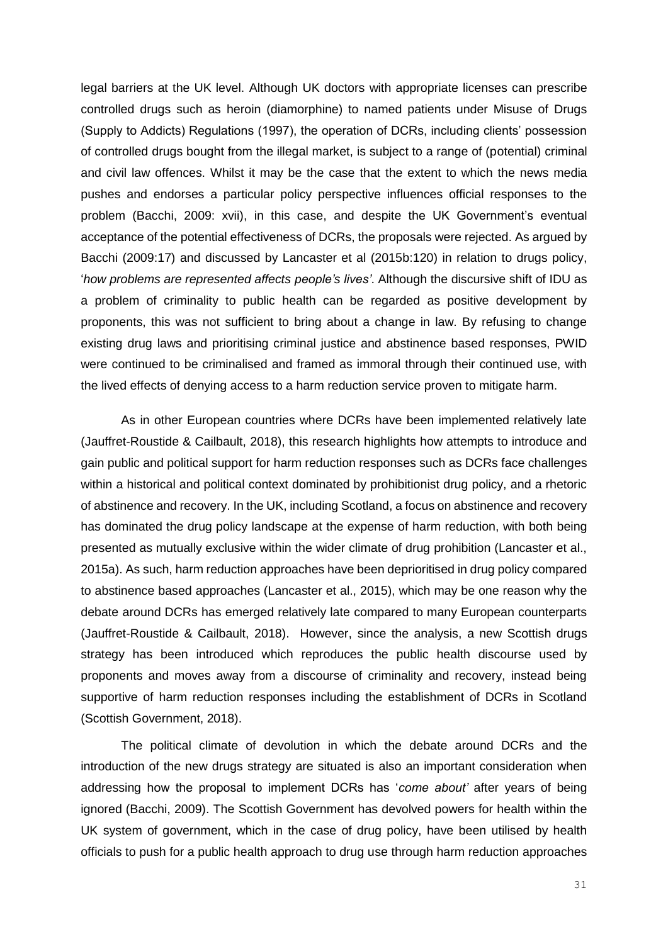legal barriers at the UK level. Although UK doctors with appropriate licenses can prescribe controlled drugs such as heroin (diamorphine) to named patients under Misuse of Drugs (Supply to Addicts) Regulations (1997), the operation of DCRs, including clients' possession of controlled drugs bought from the illegal market, is subject to a range of (potential) criminal and civil law offences. Whilst it may be the case that the extent to which the news media pushes and endorses a particular policy perspective influences official responses to the problem (Bacchi, 2009: xvii), in this case, and despite the UK Government's eventual acceptance of the potential effectiveness of DCRs, the proposals were rejected. As argued by Bacchi (2009:17) and discussed by Lancaster et al (2015b:120) in relation to drugs policy, '*how problems are represented affects people's lives'*. Although the discursive shift of IDU as a problem of criminality to public health can be regarded as positive development by proponents, this was not sufficient to bring about a change in law. By refusing to change existing drug laws and prioritising criminal justice and abstinence based responses, PWID were continued to be criminalised and framed as immoral through their continued use, with the lived effects of denying access to a harm reduction service proven to mitigate harm.

As in other European countries where DCRs have been implemented relatively late (Jauffret-Roustide & Cailbault, 2018), this research highlights how attempts to introduce and gain public and political support for harm reduction responses such as DCRs face challenges within a historical and political context dominated by prohibitionist drug policy, and a rhetoric of abstinence and recovery. In the UK, including Scotland, a focus on abstinence and recovery has dominated the drug policy landscape at the expense of harm reduction, with both being presented as mutually exclusive within the wider climate of drug prohibition (Lancaster et al., 2015a). As such, harm reduction approaches have been deprioritised in drug policy compared to abstinence based approaches (Lancaster et al., 2015), which may be one reason why the debate around DCRs has emerged relatively late compared to many European counterparts (Jauffret-Roustide & Cailbault, 2018). However, since the analysis, a new Scottish drugs strategy has been introduced which reproduces the public health discourse used by proponents and moves away from a discourse of criminality and recovery, instead being supportive of harm reduction responses including the establishment of DCRs in Scotland (Scottish Government, 2018).

The political climate of devolution in which the debate around DCRs and the introduction of the new drugs strategy are situated is also an important consideration when addressing how the proposal to implement DCRs has '*come about'* after years of being ignored (Bacchi, 2009). The Scottish Government has devolved powers for health within the UK system of government, which in the case of drug policy, have been utilised by health officials to push for a public health approach to drug use through harm reduction approaches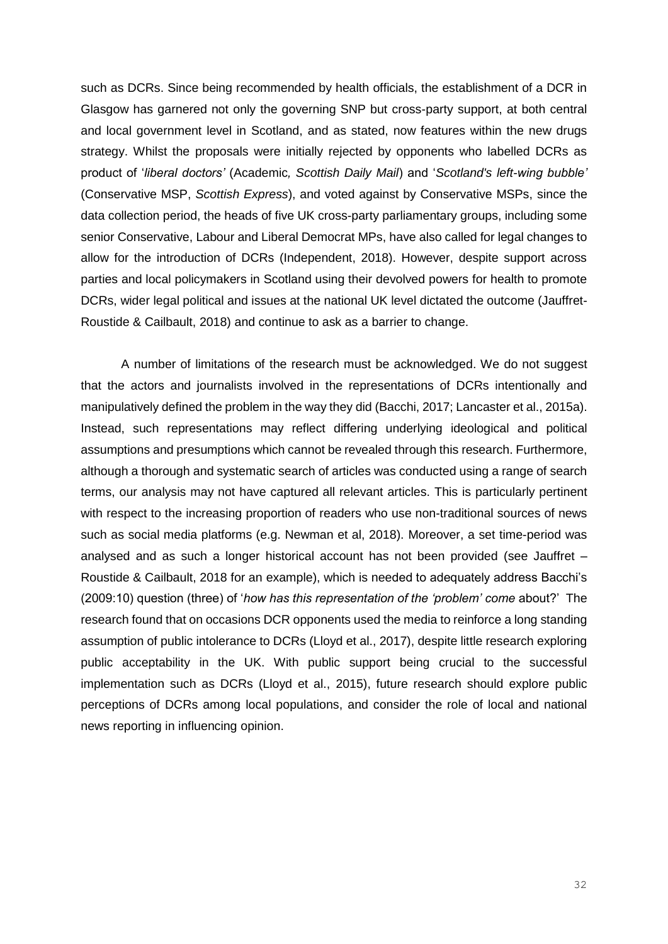such as DCRs. Since being recommended by health officials, the establishment of a DCR in Glasgow has garnered not only the governing SNP but cross-party support, at both central and local government level in Scotland, and as stated, now features within the new drugs strategy. Whilst the proposals were initially rejected by opponents who labelled DCRs as product of '*liberal doctors'* (Academic*, Scottish Daily Mail*) and '*Scotland's left-wing bubble'* (Conservative MSP, *Scottish Express*), and voted against by Conservative MSPs, since the data collection period, the heads of five UK cross-party parliamentary groups, including some senior Conservative, Labour and Liberal Democrat MPs, have also called for legal changes to allow for the introduction of DCRs (Independent, 2018). However, despite support across parties and local policymakers in Scotland using their devolved powers for health to promote DCRs, wider legal political and issues at the national UK level dictated the outcome (Jauffret-Roustide & Cailbault, 2018) and continue to ask as a barrier to change.

A number of limitations of the research must be acknowledged. We do not suggest that the actors and journalists involved in the representations of DCRs intentionally and manipulatively defined the problem in the way they did (Bacchi, 2017; Lancaster et al., 2015a). Instead, such representations may reflect differing underlying ideological and political assumptions and presumptions which cannot be revealed through this research. Furthermore, although a thorough and systematic search of articles was conducted using a range of search terms, our analysis may not have captured all relevant articles. This is particularly pertinent with respect to the increasing proportion of readers who use non-traditional sources of news such as social media platforms (e.g. Newman et al, 2018). Moreover, a set time-period was analysed and as such a longer historical account has not been provided (see Jauffret – Roustide & Cailbault, 2018 for an example), which is needed to adequately address Bacchi's (2009:10) question (three) of '*how has this representation of the 'problem' come* about?' The research found that on occasions DCR opponents used the media to reinforce a long standing assumption of public intolerance to DCRs (Lloyd et al., 2017), despite little research exploring public acceptability in the UK. With public support being crucial to the successful implementation such as DCRs (Lloyd et al., 2015), future research should explore public perceptions of DCRs among local populations, and consider the role of local and national news reporting in influencing opinion.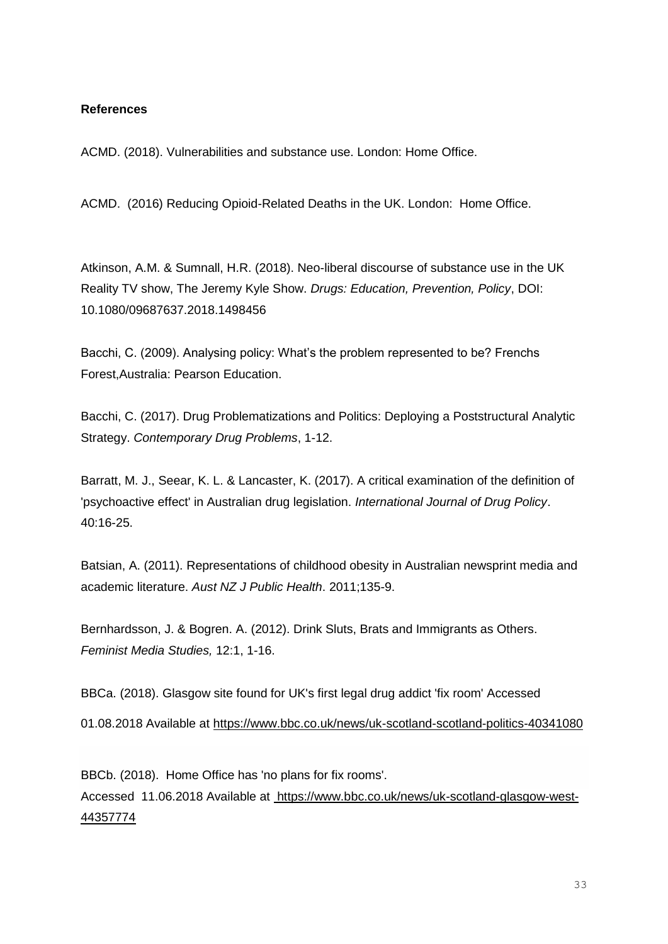## **References**

ACMD. (2018). Vulnerabilities and substance use. London: Home Office.

ACMD. (2016) Reducing Opioid-Related Deaths in the UK. London: Home Office.

Atkinson, A.M. & Sumnall, H.R. (2018). Neo-liberal discourse of substance use in the UK Reality TV show, The Jeremy Kyle Show. *Drugs: Education, Prevention, Policy*, DOI: 10.1080/09687637.2018.1498456

Bacchi, C. (2009). Analysing policy: What's the problem represented to be? Frenchs Forest,Australia: Pearson Education.

Bacchi, C. (2017). Drug Problematizations and Politics: Deploying a Poststructural Analytic Strategy. *Contemporary Drug Problems*, 1-12.

Barratt, M. J., Seear, K. L. & Lancaster, K. (2017). A critical examination of the definition of 'psychoactive effect' in Australian drug legislation. *International Journal of Drug Policy*. 40:16-25.

Batsian, A. (2011). Representations of childhood obesity in Australian newsprint media and academic literature. *Aust NZ J Public Health*. 2011;135-9.

Bernhardsson, J. & Bogren. A. (2012). Drink Sluts, Brats and Immigrants as Others. *Feminist Media Studies,* 12:1, 1-16.

BBCa. (2018). Glasgow site found for UK's first legal drug addict 'fix room' Accessed 01.08.2018 Available at https://www.bbc.co.uk/news/uk-scotland-scotland-politics-40341080

BBCb. (2018). Home Office has 'no plans for fix rooms'. Accessed 11.06.2018 Available at [https://www.bbc.co.uk/news/uk-scotland-glasgow-west-](https://www.bbc.co.uk/news/uk-scotland-glasgow-west-44357774)[44357774](https://www.bbc.co.uk/news/uk-scotland-glasgow-west-44357774)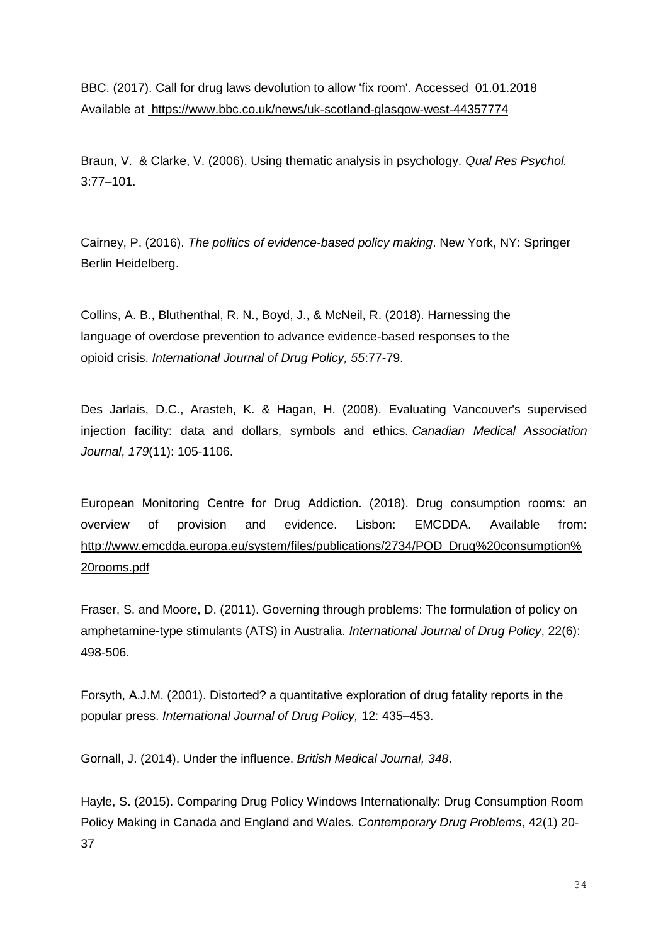BBC. (2017). Call for drug laws devolution to allow 'fix room'. Accessed 01.01.2018 Available at <https://www.bbc.co.uk/news/uk-scotland-glasgow-west-44357774>

Braun, V. & Clarke, V. (2006). Using thematic analysis in psychology. *Qual Res Psychol.* 3:77–101.

Cairney, P. (2016). *The politics of evidence-based policy making*. New York, NY: Springer Berlin Heidelberg.

Collins, A. B., Bluthenthal, R. N., Boyd, J., & McNeil, R. (2018). Harnessing the language of overdose prevention to advance evidence-based responses to the opioid crisis. *International Journal of Drug Policy, 55*:77-79.

Des Jarlais, D.C., Arasteh, K. & Hagan, H. (2008). Evaluating Vancouver's supervised injection facility: data and dollars, symbols and ethics. *Canadian Medical Association Journal*, *179*(11): 105-1106.

European Monitoring Centre for Drug Addiction. (2018). Drug consumption rooms: an overview of provision and evidence. Lisbon: EMCDDA. Available from: [http://www.emcdda.europa.eu/system/files/publications/2734/POD\\_Drug%20consumption%](http://www.emcdda.europa.eu/system/files/publications/2734/POD_Drug%20consumption%20rooms.pdf) [20rooms.pdf](http://www.emcdda.europa.eu/system/files/publications/2734/POD_Drug%20consumption%20rooms.pdf)

Fraser, S. and Moore, D. (2011). Governing through problems: The formulation of policy on amphetamine-type stimulants (ATS) in Australia. *International Journal of Drug Policy*, 22(6): 498-506.

Forsyth, A.J.M. (2001). Distorted? a quantitative exploration of drug fatality reports in the popular press. *International Journal of Drug Policy,* 12: 435–453.

Gornall, J. (2014). Under the influence. *British Medical Journal, 348*.

Hayle, S. (2015). Comparing Drug Policy Windows Internationally: Drug Consumption Room Policy Making in Canada and England and Wales. *Contemporary Drug Problems*, 42(1) 20- 37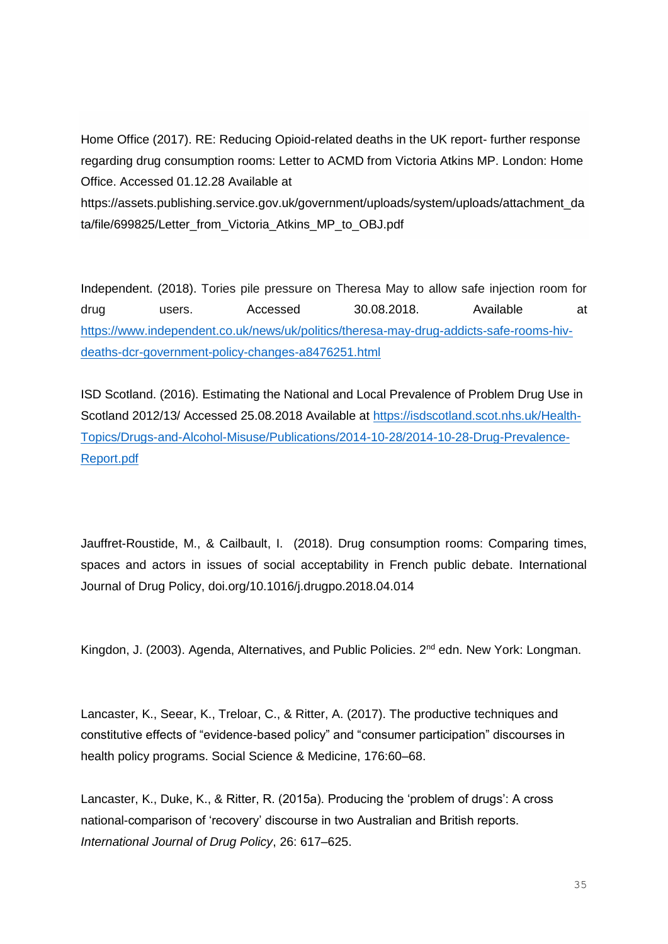Home Office (2017). RE: Reducing Opioid-related deaths in the UK report- further response regarding drug consumption rooms: Letter to ACMD from Victoria Atkins MP. London: Home Office. Accessed 01.12.28 Available at https://assets.publishing.service.gov.uk/government/uploads/system/uploads/attachment\_da ta/file/699825/Letter\_from\_Victoria\_Atkins\_MP\_to\_OBJ.pdf

Independent. (2018). Tories pile pressure on Theresa May to allow safe injection room for drug users. Accessed 30.08.2018. Available at [https://www.independent.co.uk/news/uk/politics/theresa-may-drug-addicts-safe-rooms-hiv](https://www.independent.co.uk/news/uk/politics/theresa-may-drug-addicts-safe-rooms-hiv-deaths-dcr-government-policy-changes-a8476251.html)[deaths-dcr-government-policy-changes-a8476251.html](https://www.independent.co.uk/news/uk/politics/theresa-may-drug-addicts-safe-rooms-hiv-deaths-dcr-government-policy-changes-a8476251.html)

ISD Scotland. (2016). Estimating the National and Local Prevalence of Problem Drug Use in Scotland 2012/13/ Accessed 25.08.2018 Available at [https://isdscotland.scot.nhs.uk/Health-](https://isdscotland.scot.nhs.uk/Health-Topics/Drugs-and-Alcohol-Misuse/Publications/2014-10-28/2014-10-28-Drug-Prevalence-Report.pdf)[Topics/Drugs-and-Alcohol-Misuse/Publications/2014-10-28/2014-10-28-Drug-Prevalence-](https://isdscotland.scot.nhs.uk/Health-Topics/Drugs-and-Alcohol-Misuse/Publications/2014-10-28/2014-10-28-Drug-Prevalence-Report.pdf)[Report.pdf](https://isdscotland.scot.nhs.uk/Health-Topics/Drugs-and-Alcohol-Misuse/Publications/2014-10-28/2014-10-28-Drug-Prevalence-Report.pdf)

Jauffret-Roustide, M., & Cailbault, I. (2018). Drug consumption rooms: Comparing times, spaces and actors in issues of social acceptability in French public debate. International Journal of Drug Policy, doi.org/10.1016/j.drugpo.2018.04.014

Kingdon, J. (2003). Agenda, Alternatives, and Public Policies. 2<sup>nd</sup> edn. New York: Longman.

Lancaster, K., Seear, K., Treloar, C., & Ritter, A. (2017). The productive techniques and constitutive effects of "evidence-based policy" and "consumer participation" discourses in health policy programs. Social Science & Medicine, 176:60–68.

Lancaster, K., Duke, K., & Ritter, R. (2015a). Producing the 'problem of drugs': A cross national-comparison of 'recovery' discourse in two Australian and British reports. *International Journal of Drug Policy*, 26: 617–625.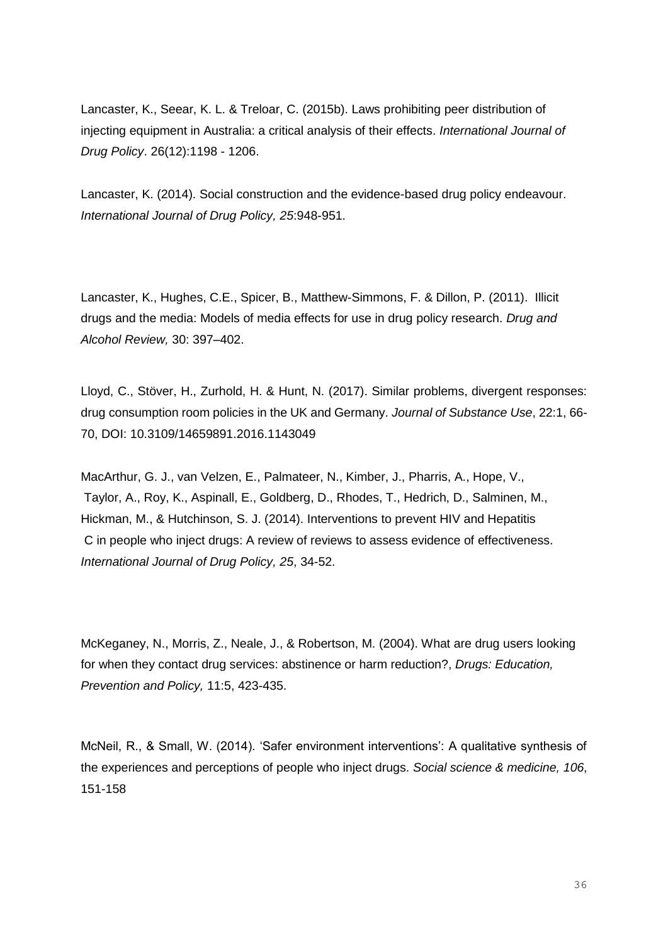Lancaster, K., Seear, K. L. & Treloar, C. (2015b). Laws prohibiting peer distribution of injecting equipment in Australia: a critical analysis of their effects. *International Journal of Drug Policy*. 26(12):1198 - 1206.

Lancaster, K. (2014). Social construction and the evidence-based drug policy endeavour. *International Journal of Drug Policy, 25*:948-951.

Lancaster, K., Hughes, C.E., Spicer, B., Matthew-Simmons, F. & Dillon, P. (2011). Illicit drugs and the media: Models of media effects for use in drug policy research. *Drug and Alcohol Review,* 30: 397–402.

Lloyd, C., Stöver, H., Zurhold, H. & Hunt, N. (2017). Similar problems, divergent responses: drug consumption room policies in the UK and Germany. *Journal of Substance Use*, 22:1, 66- 70, DOI: 10.3109/14659891.2016.1143049

MacArthur, G. J., van Velzen, E., Palmateer, N., Kimber, J., Pharris, A., Hope, V., Taylor, A., Roy, K., Aspinall, E., Goldberg, D., Rhodes, T., Hedrich, D., Salminen, M., Hickman, M., & Hutchinson, S. J. (2014). Interventions to prevent HIV and Hepatitis C in people who inject drugs: A review of reviews to assess evidence of effectiveness. *International Journal of Drug Policy, 25*, 34-52.

McKeganey, N., Morris, Z., Neale, J., & Robertson, M. (2004). What are drug users looking for when they contact drug services: abstinence or harm reduction?, *Drugs: Education, Prevention and Policy,* 11:5, 423-435.

McNeil, R., & Small, W. (2014). 'Safer environment interventions': A qualitative synthesis of the experiences and perceptions of people who inject drugs. *Social science & medicine, 106*, 151-158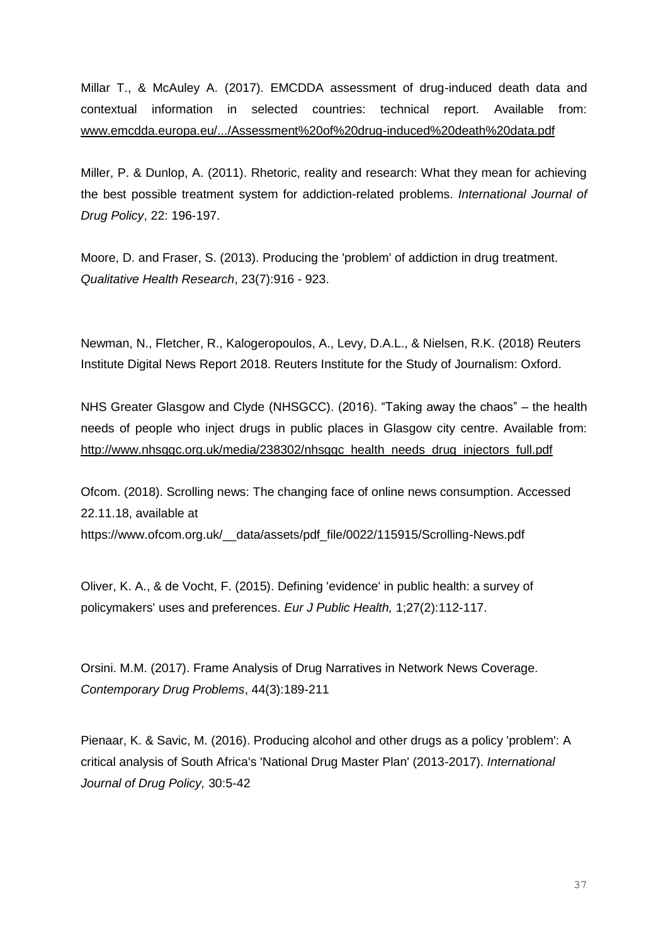Millar T., & McAuley A. (2017). EMCDDA assessment of drug-induced death data and contextual information in selected countries: technical report. Available from: [www.emcdda.europa.eu/.../Assessment%20of%20drug-induced%20death%20data.pdf](http://www.emcdda.europa.eu/.../Assessment%20of%20drug-induced%20death%20data.pdf)

Miller, P. & Dunlop, A. (2011). Rhetoric, reality and research: What they mean for achieving the best possible treatment system for addiction-related problems. *International Journal of Drug Policy*, 22: 196-197.

Moore, D. and Fraser, S. (2013). Producing the 'problem' of addiction in drug treatment. *Qualitative Health Research*, 23(7):916 - 923.

Newman, N., Fletcher, R., Kalogeropoulos, A., Levy, D.A.L., & Nielsen, R.K. (2018) Reuters Institute Digital News Report 2018. Reuters Institute for the Study of Journalism: Oxford.

NHS Greater Glasgow and Clyde (NHSGCC). (2016). "Taking away the chaos" – the health needs of people who inject drugs in public places in Glasgow city centre. Available from: [http://www.nhsggc.org.uk/media/238302/nhsggc\\_health\\_needs\\_drug\\_injectors\\_full.pdf](http://www.nhsggc.org.uk/media/238302/nhsggc_health_needs_drug_injectors_full.pdf)

Ofcom. (2018). Scrolling news: The changing face of online news consumption. Accessed 22.11.18, available at https://www.ofcom.org.uk/\_\_data/assets/pdf\_file/0022/115915/Scrolling-News.pdf

Oliver, K. A., & de Vocht, F. (2015). Defining 'evidence' in public health: a survey of policymakers' uses and preferences. *Eur J Public Health,* 1;27(2):112-117.

Orsini. M.M. (2017). Frame Analysis of Drug Narratives in Network News Coverage. *Contemporary Drug Problems*, 44(3):189-211

Pienaar, K. & Savic, M. (2016). Producing alcohol and other drugs as a policy 'problem': A critical analysis of South Africa's 'National Drug Master Plan' (2013-2017). *International Journal of Drug Policy,* 30:5-42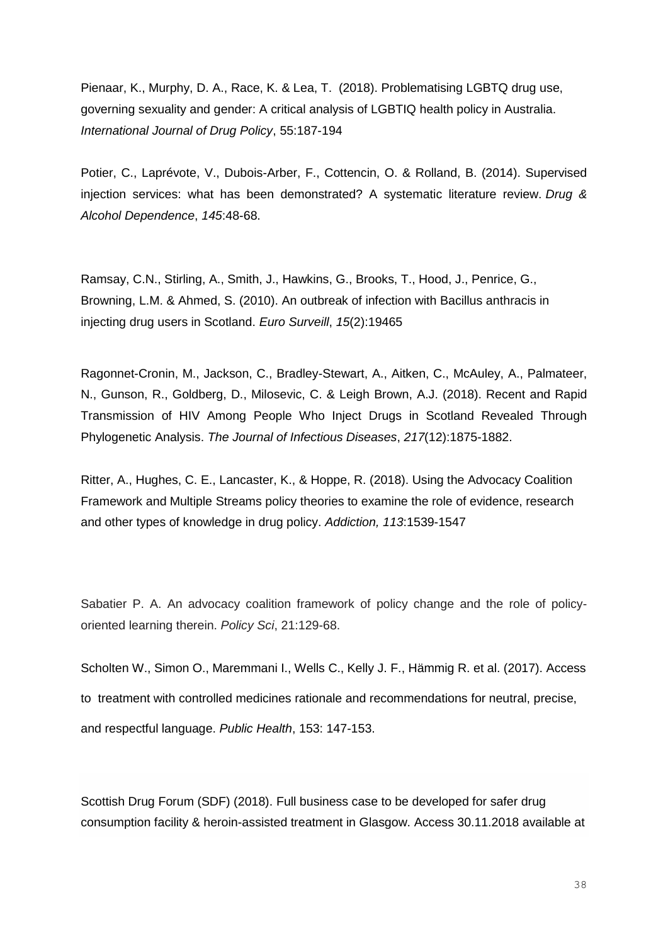Pienaar, K., Murphy, D. A., Race, K. & Lea, T. (2018). Problematising LGBTQ drug use, governing sexuality and gender: A critical analysis of LGBTIQ health policy in Australia. *International Journal of Drug Policy*, 55:187-194

Potier, C., Laprévote, V., Dubois-Arber, F., Cottencin, O. & Rolland, B. (2014). Supervised injection services: what has been demonstrated? A systematic literature review. *Drug & Alcohol Dependence*, *145*:48-68.

Ramsay, C.N., Stirling, A., Smith, J., Hawkins, G., Brooks, T., Hood, J., Penrice, G., Browning, L.M. & Ahmed, S. (2010). An outbreak of infection with Bacillus anthracis in injecting drug users in Scotland. *Euro Surveill*, *15*(2):19465

Ragonnet-Cronin, M., Jackson, C., Bradley-Stewart, A., Aitken, C., McAuley, A., Palmateer, N., Gunson, R., Goldberg, D., Milosevic, C. & Leigh Brown, A.J. (2018). Recent and Rapid Transmission of HIV Among People Who Inject Drugs in Scotland Revealed Through Phylogenetic Analysis. *The Journal of Infectious Diseases*, *217*(12):1875-1882.

Ritter, A., Hughes, C. E., Lancaster, K., & Hoppe, R. (2018). Using the Advocacy Coalition Framework and Multiple Streams policy theories to examine the role of evidence, research and other types of knowledge in drug policy. *Addiction, 113*:1539-1547

Sabatier P. A. An advocacy coalition framework of policy change and the role of policyoriented learning therein. *Policy Sci*, 21:129-68.

Scholten W., Simon O., Maremmani I., Wells C., Kelly J. F., Hämmig R. et al. (2017). Access to treatment with controlled medicines rationale and recommendations for neutral, precise, and respectful language. *Public Health*, 153: 147-153.

Scottish Drug Forum (SDF) (2018). Full business case to be developed for safer drug consumption facility & heroin-assisted treatment in Glasgow. Access 30.11.2018 available at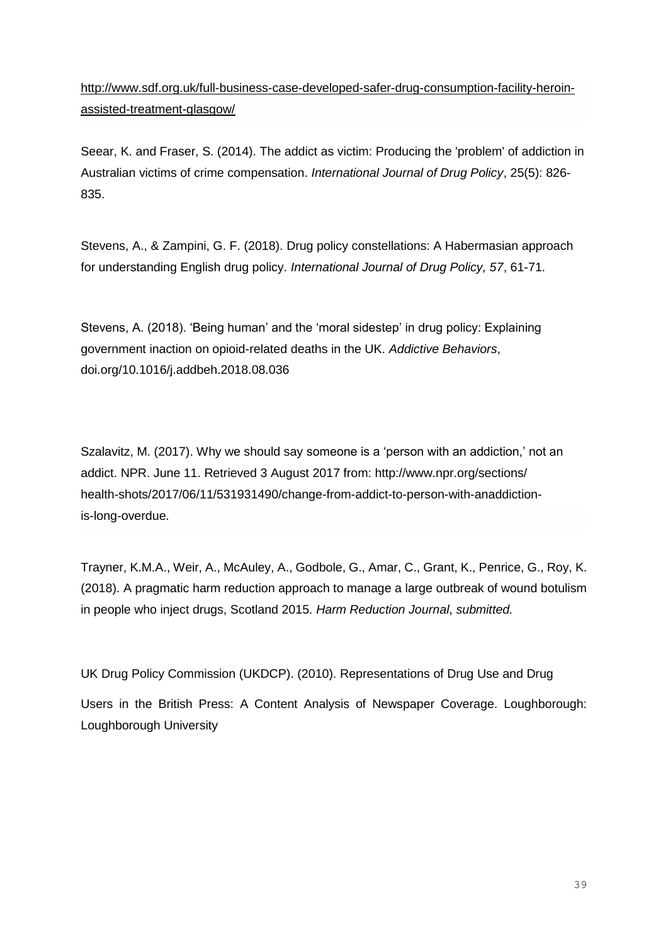[http://www.sdf.org.uk/full-business-case-developed-safer-drug-consumption-facility-heroin](http://www.sdf.org.uk/full-business-case-developed-safer-drug-consumption-facility-heroin-assisted-treatment-glasgow/)[assisted-treatment-glasgow/](http://www.sdf.org.uk/full-business-case-developed-safer-drug-consumption-facility-heroin-assisted-treatment-glasgow/)

Seear, K. and Fraser, S. (2014). The addict as victim: Producing the 'problem' of addiction in Australian victims of crime compensation. *International Journal of Drug Policy*, 25(5): 826- 835.

Stevens, A., & Zampini, G. F. (2018). Drug policy constellations: A Habermasian approach for understanding English drug policy. *International Journal of Drug Policy, 57*, 61-71.

Stevens, A. (2018). 'Being human' and the 'moral sidestep' in drug policy: Explaining government inaction on opioid-related deaths in the UK. *Addictive Behaviors*, [doi.org/10.1016/j.addbeh.2018.08.036](https://doi.org/10.1016/j.addbeh.2018.08.036)

Szalavitz, M. (2017). Why we should say someone is a 'person with an addiction,' not an addict. NPR. June 11. Retrieved 3 August 2017 from: http://www.npr.org/sections/ health-shots/2017/06/11/531931490/change-from-addict-to-person-with-anaddictionis-long-overdue.

Trayner, K.M.A., Weir, A., McAuley, A., Godbole, G., Amar, C., Grant, K., Penrice, G., Roy, K. (2018). A pragmatic harm reduction approach to manage a large outbreak of wound botulism in people who inject drugs, Scotland 2015. *Harm Reduction Journal*, *submitted.*

UK Drug Policy Commission (UKDCP). (2010). Representations of Drug Use and Drug Users in the British Press: A Content Analysis of Newspaper Coverage. Loughborough: Loughborough University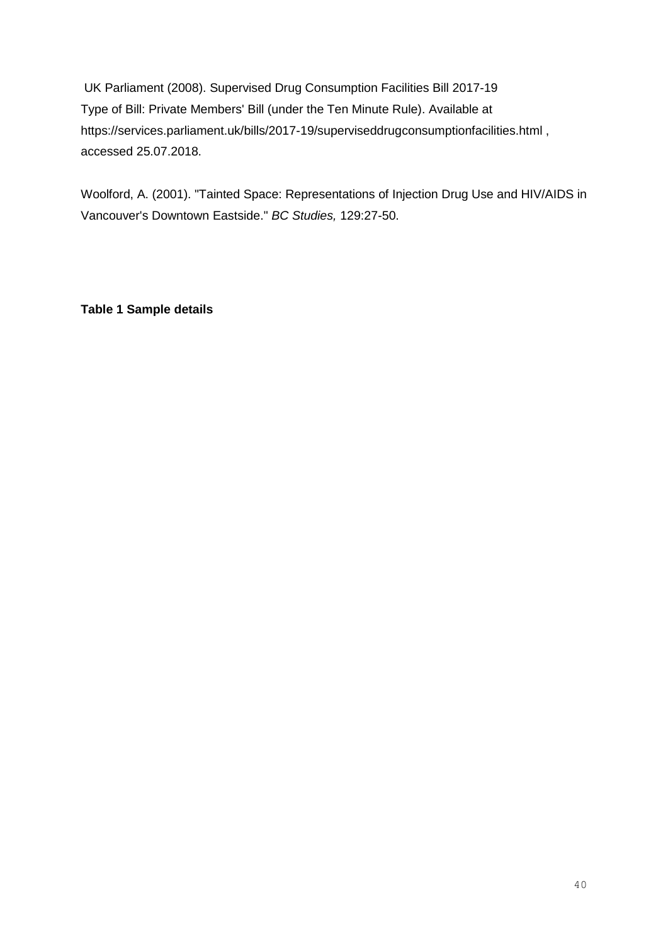UK Parliament (2008). Supervised Drug Consumption Facilities Bill 2017-19 Type of Bill: Private Members' Bill (under the Ten Minute Rule). Available at https://services.parliament.uk/bills/2017-19/superviseddrugconsumptionfacilities.html , accessed 25.07.2018.

Woolford, A. (2001). "Tainted Space: Representations of Injection Drug Use and HIV/AIDS in Vancouver's Downtown Eastside." *BC Studies,* 129:27-50.

**Table 1 Sample details**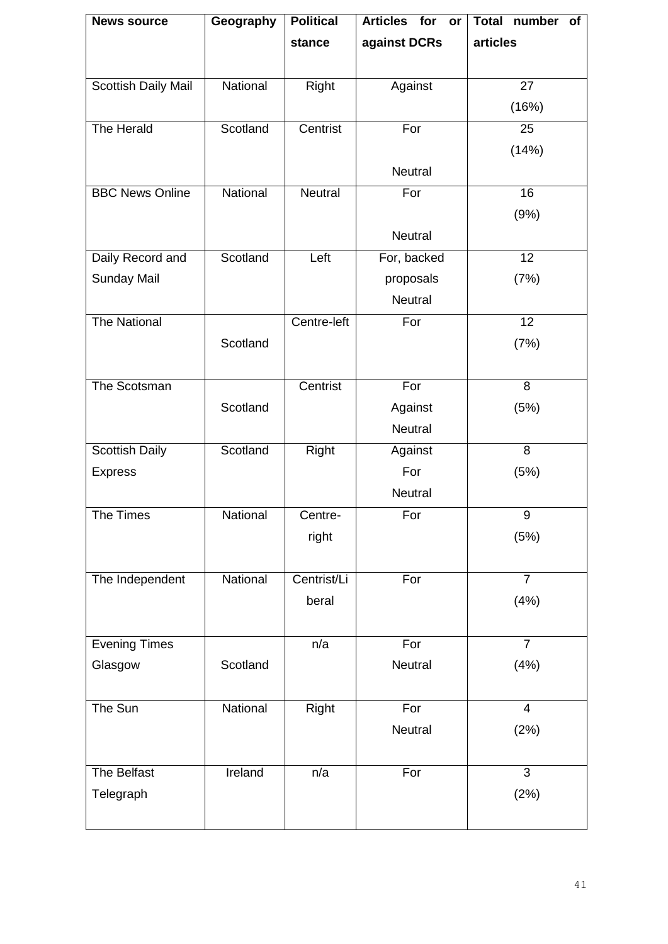| <b>News source</b>     | Geography | <b>Political</b> | <b>Articles</b><br>for<br>or | <b>Total</b><br>number<br>of |  |
|------------------------|-----------|------------------|------------------------------|------------------------------|--|
|                        |           | stance           | against DCRs                 | articles                     |  |
|                        |           |                  |                              |                              |  |
| Scottish Daily Mail    | National  | Right            | Against                      | 27                           |  |
|                        |           |                  |                              | (16%)                        |  |
| The Herald             | Scotland  | Centrist         | For                          | 25                           |  |
|                        |           |                  |                              | (14%)                        |  |
|                        |           |                  | <b>Neutral</b>               |                              |  |
| <b>BBC News Online</b> | National  | <b>Neutral</b>   | For                          | 16                           |  |
|                        |           |                  |                              | (9% )                        |  |
|                        |           |                  | Neutral                      |                              |  |
| Daily Record and       | Scotland  | Left             | For, backed                  | 12                           |  |
| <b>Sunday Mail</b>     |           |                  | proposals                    | (7%)                         |  |
|                        |           |                  | Neutral                      |                              |  |
| <b>The National</b>    |           | Centre-left      | For                          | 12                           |  |
|                        | Scotland  |                  |                              | (7%)                         |  |
|                        |           |                  |                              |                              |  |
| The Scotsman           |           | Centrist         | For                          | $\overline{8}$               |  |
|                        | Scotland  |                  | Against                      | (5%)                         |  |
|                        |           |                  | <b>Neutral</b>               |                              |  |
| <b>Scottish Daily</b>  | Scotland  | Right            | Against                      | 8                            |  |
| <b>Express</b>         |           |                  | For                          | (5%)                         |  |
|                        |           |                  | Neutral                      |                              |  |
| The Times              | National  | Centre-          | For                          | 9                            |  |
|                        |           | right            |                              | (5%)                         |  |
|                        |           |                  |                              |                              |  |
| The Independent        | National  | Centrist/Li      | For                          | $\overline{7}$               |  |
|                        |           | beral            |                              | (4% )                        |  |
|                        |           |                  |                              |                              |  |
| <b>Evening Times</b>   |           | n/a              | For                          | $\overline{7}$               |  |
| Glasgow                | Scotland  |                  | Neutral                      | (4% )                        |  |
|                        |           |                  |                              |                              |  |
| The Sun                | National  | Right            | For                          | $\overline{4}$               |  |
|                        |           |                  | Neutral                      | (2%)                         |  |
|                        |           |                  |                              |                              |  |
| The Belfast            | Ireland   | n/a              | For                          | $\overline{3}$               |  |
| Telegraph              |           |                  |                              | (2%)                         |  |
|                        |           |                  |                              |                              |  |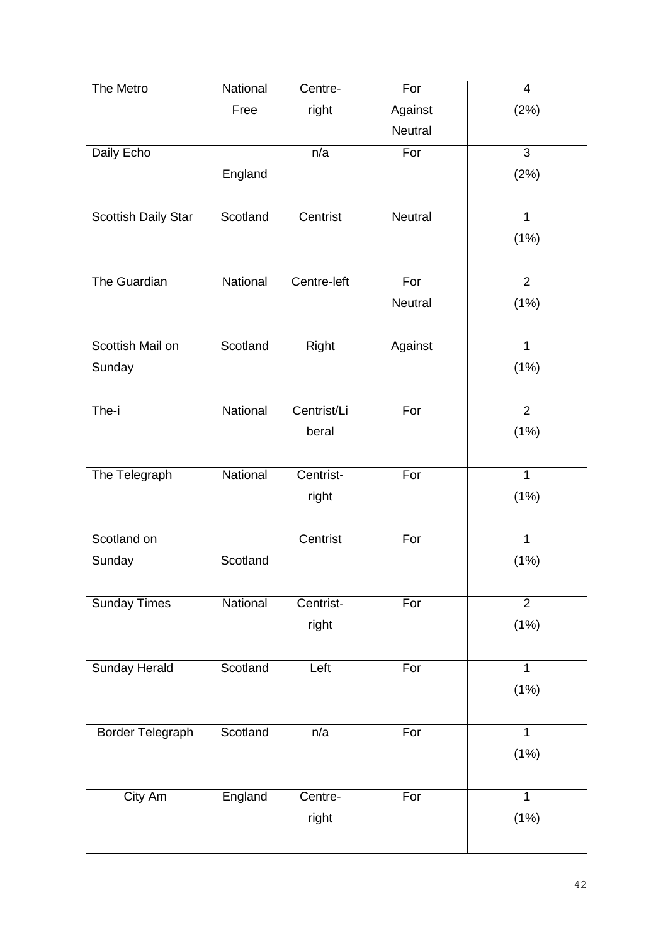| The Metro                  | National | Centre-      | For            | $\overline{\mathcal{A}}$ |
|----------------------------|----------|--------------|----------------|--------------------------|
|                            | Free     | right        | Against        | (2%)                     |
|                            |          |              | Neutral        |                          |
| Daily Echo                 |          | n/a          | For            | 3                        |
|                            | England  |              |                | (2%)                     |
|                            |          |              |                |                          |
| <b>Scottish Daily Star</b> | Scotland | Centrist     | Neutral        | $\mathbf{1}$             |
|                            |          |              |                | (1%)                     |
|                            |          |              |                |                          |
| The Guardian               | National | Centre-left  | For            | $\overline{2}$           |
|                            |          |              | <b>Neutral</b> | (1%)                     |
|                            |          |              |                |                          |
| Scottish Mail on           | Scotland | <b>Right</b> | Against        | $\overline{1}$           |
| Sunday                     |          |              |                | (1%)                     |
|                            |          |              |                |                          |
| The-i                      | National | Centrist/Li  | For            | $\overline{2}$           |
|                            |          | beral        |                | (1%)                     |
|                            |          |              |                |                          |
| The Telegraph              | National | Centrist-    | For            | 1                        |
|                            |          | right        |                | (1%)                     |
|                            |          |              |                |                          |
| Scotland on                |          | Centrist     | For            | $\mathbf{1}$             |
| Sunday                     | Scotland |              |                | (1%)                     |
|                            |          |              |                |                          |
| <b>Sunday Times</b>        | National | Centrist-    | For            | $\overline{2}$           |
|                            |          | right        |                | (1%)                     |
|                            |          |              |                |                          |
| <b>Sunday Herald</b>       | Scotland | Left         | For            | $\mathbf{1}$             |
|                            |          |              |                | (1%)                     |
|                            |          |              |                |                          |
| Border Telegraph           | Scotland | n/a          | For            | 1                        |
|                            |          |              |                | (1%)                     |
|                            |          |              |                |                          |
| City Am                    | England  | Centre-      | For            | $\overline{1}$           |
|                            |          | right        |                | (1%)                     |
|                            |          |              |                |                          |
|                            |          |              |                |                          |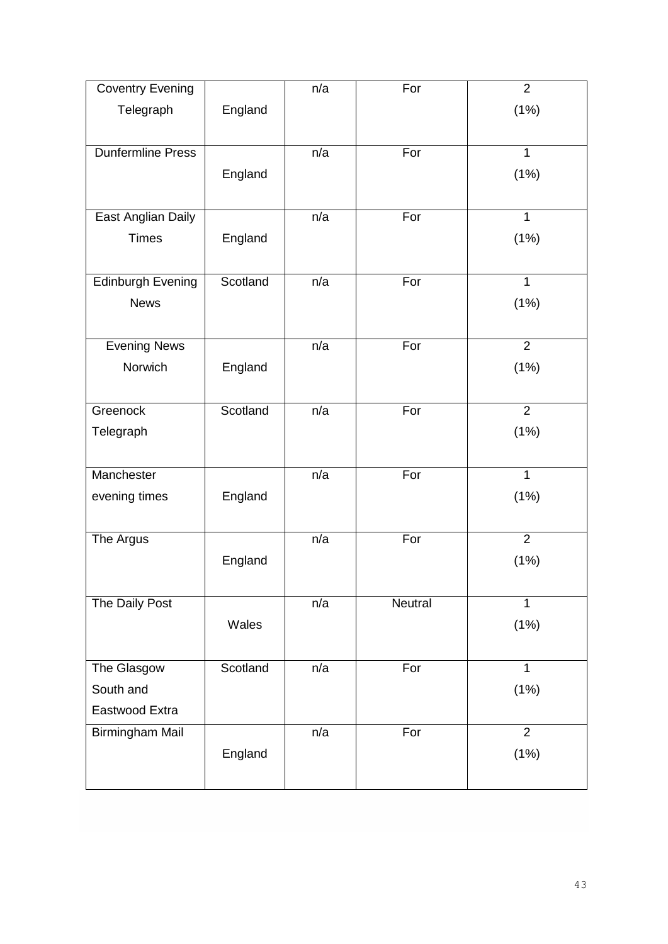| <b>Coventry Evening</b>  |          | n/a | For     | $\overline{2}$ |
|--------------------------|----------|-----|---------|----------------|
| Telegraph                | England  |     |         | (1%)           |
|                          |          |     |         |                |
| <b>Dunfermline Press</b> |          | n/a | For     | $\overline{1}$ |
|                          | England  |     |         | (1%)           |
|                          |          |     |         |                |
| East Anglian Daily       |          | n/a | For     | $\mathbf{1}$   |
| <b>Times</b>             | England  |     |         | (1%)           |
|                          |          |     |         |                |
| <b>Edinburgh Evening</b> | Scotland | n/a | For     | 1              |
| <b>News</b>              |          |     |         | (1%)           |
|                          |          |     |         |                |
| <b>Evening News</b>      |          | n/a | For     | $\overline{2}$ |
| Norwich                  | England  |     |         | (1%)           |
|                          |          |     |         |                |
| Greenock                 | Scotland | n/a | For     | $\overline{2}$ |
| Telegraph                |          |     |         | (1%)           |
|                          |          |     |         |                |
| Manchester               |          | n/a | For     | $\overline{1}$ |
| evening times            | England  |     |         | (1%)           |
|                          |          |     |         |                |
| The Argus                |          | n/a | For     | $\overline{2}$ |
|                          | England  |     |         | (1%)           |
|                          |          |     |         |                |
| The Daily Post           |          | n/a | Neutral | $\overline{1}$ |
|                          | Wales    |     |         | (1%)           |
|                          |          |     |         |                |
| The Glasgow              | Scotland | n/a | For     | 1              |
| South and                |          |     |         | (1%)           |
| Eastwood Extra           |          |     |         |                |
| <b>Birmingham Mail</b>   |          | n/a | For     | $\overline{2}$ |
|                          | England  |     |         | (1%)           |
|                          |          |     |         |                |
|                          |          |     |         |                |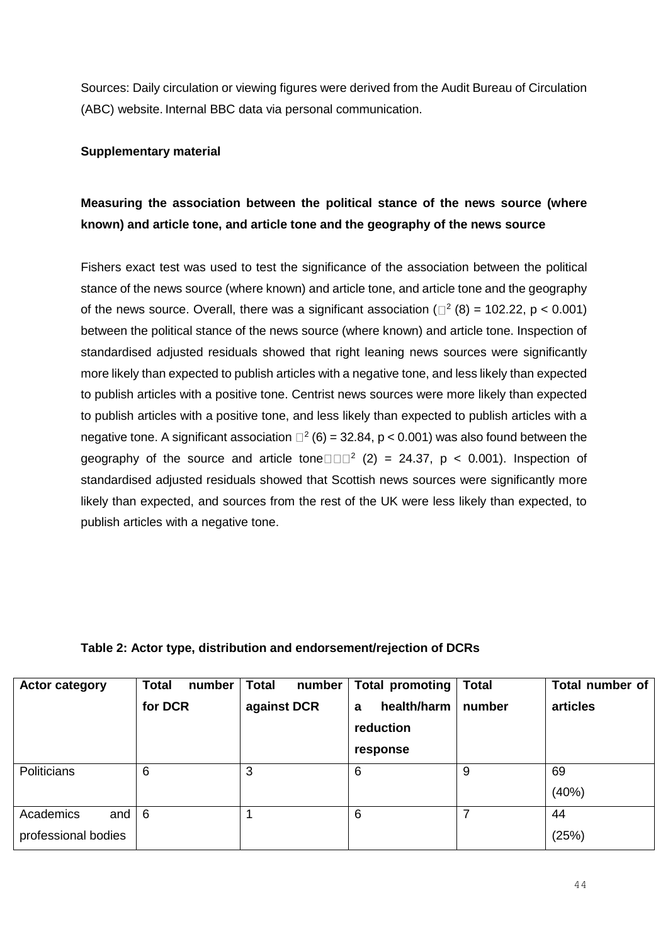Sources: Daily circulation or viewing figures were derived from the Audit Bureau of Circulation (ABC) website. Internal BBC data via personal communication.

## **Supplementary material**

# **Measuring the association between the political stance of the news source (where known) and article tone, and article tone and the geography of the news source**

Fishers exact test was used to test the significance of the association between the political stance of the news source (where known) and article tone, and article tone and the geography of the news source. Overall, there was a significant association ( $\Box^2$  (8) = 102.22, p < 0.001) between the political stance of the news source (where known) and article tone. Inspection of standardised adjusted residuals showed that right leaning news sources were significantly more likely than expected to publish articles with a negative tone, and less likely than expected to publish articles with a positive tone. Centrist news sources were more likely than expected to publish articles with a positive tone, and less likely than expected to publish articles with a negative tone. A significant association  $\square^2$  (6) = 32.84, p < 0.001) was also found between the geography of the source and article tone  $\Box$   $\Box$  (2) = 24.37, p < 0.001). Inspection of standardised adjusted residuals showed that Scottish news sources were significantly more likely than expected, and sources from the rest of the UK were less likely than expected, to publish articles with a negative tone.

# **Table 2: Actor type, distribution and endorsement/rejection of DCRs**

| <b>Actor category</b>                   | <b>Total</b><br>number<br>for DCR | <b>Total</b><br>number<br>against DCR | Total promoting<br>health/harm<br>a<br>reduction<br>response | <b>Total</b><br>number | Total number of<br>articles |
|-----------------------------------------|-----------------------------------|---------------------------------------|--------------------------------------------------------------|------------------------|-----------------------------|
| <b>Politicians</b>                      | 6                                 | 3                                     | 6                                                            | 9                      | 69<br>(40%)                 |
| Academics<br>and<br>professional bodies | 6                                 |                                       | 6                                                            |                        | 44<br>(25%)                 |